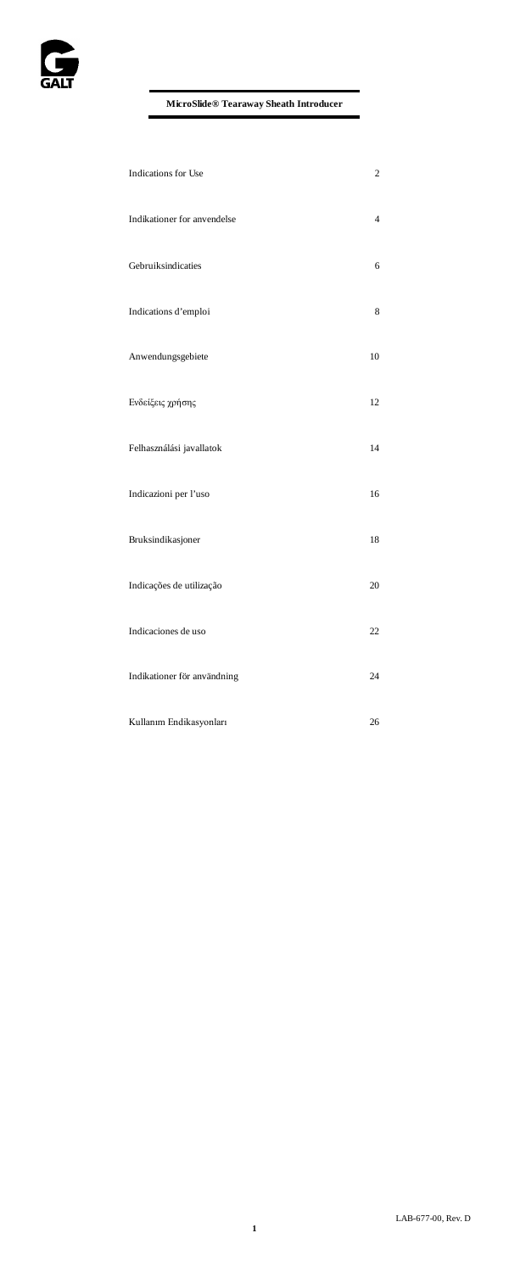

| Indications for Use         | $\overline{c}$ |
|-----------------------------|----------------|
| Indikationer for anvendelse | $\overline{4}$ |
| Gebruiksindicaties          | 6              |
| Indications d'emploi        | 8              |
| Anwendungsgebiete           | 10             |
| Ενδείξεις χρήσης            | 12             |
| Felhasználási javallatok    | 14             |
| Indicazioni per l'uso       | 16             |
| Bruksindikasjoner           | 18             |
| Indicações de utilização    | 20             |
| Indicaciones de uso         | 22             |
| Indikationer för användning | 24             |
| Kullanım Endikasyonları     | 26             |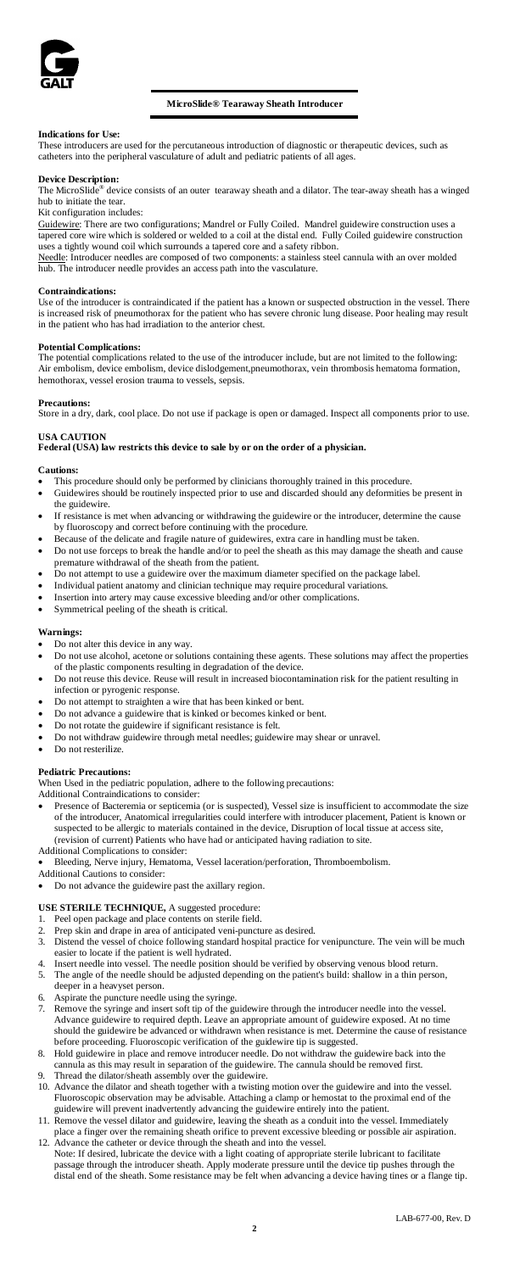

# **MicroSlide® Tearaway Sheath Introducer**

# **Indications for Use:**

These introducers are used for the percutaneous introduction of diagnostic or therapeutic devices, such as catheters into the peripheral vasculature of adult and pediatric patients of all ages.

### **Device Description:**

The MicroSlide® device consists of an outer tearaway sheath and a dilator. The tear-away sheath has a winged hub to initiate the tear. Kit configuration includes:

Guidewire: There are two configurations; Mandrel or Fully Coiled. Mandrel guidewire construction uses a tapered core wire which is soldered or welded to a coil at the distal end. Fully Coiled guidewire construction uses a tightly wound coil which surrounds a tapered core and a safety ribbon.

Needle: Introducer needles are composed of two components: a stainless steel cannula with an over molded hub. The introducer needle provides an access path into the vasculature.

### **Contraindications:**

Use of the introducer is contraindicated if the patient has a known or suspected obstruction in the vessel. There is increased risk of pneumothorax for the patient who has severe chronic lung disease. Poor healing may result in the patient who has had irradiation to the anterior chest.

# **Potential Complications:**

The potential complications related to the use of the introducer include, but are not limited to the following: Air embolism, device embolism, device dislodgement,pneumothorax, vein thrombosis hematoma formation, hemothorax, vessel erosion trauma to vessels, sepsis.

# **Precaution**

Store in a dry, dark, cool place. Do not use if package is open or damaged. Inspect all components prior to use.

### **USA CAUTION Federal (USA) law restricts this device to sale by or on the order of a physician.**

### **Cautions:**

- This procedure should only be performed by clinicians thoroughly trained in this procedure.
- Guidewires should be routinely inspected prior to use and discarded should any deformities be present in the guidewire.
- If resistance is met when advancing or withdrawing the guidewire or the introducer, determine the cause by fluoroscopy and correct before continuing with the procedure.
- Because of the delicate and fragile nature of guidewires, extra care in handling must be taken. • Do not use forceps to break the handle and/or to peel the sheath as this may damage the sheath and cause premature withdrawal of the sheath from the patient.
- Do not attempt to use a guidewire over the maximum diameter specified on the package label.
- Individual patient anatomy and clinician technique may require procedural variations.
- Insertion into artery may cause excessive bleeding and/or other complications.
- Symmetrical peeling of the sheath is critical.

# **Warnings:**

- Do not alter this device in any way.
- Do not use alcohol, acetone or solutions containing these agents. These solutions may affect the properties of the plastic components resulting in degradation of the device.
- Do not reuse this device. Reuse will result in increased biocontamination risk for the patient resulting in infection or pyrogenic response.
- Do not attempt to straighten a wire that has been kinked or bent.
- Do not advance a guidewire that is kinked or becomes kinked or bent.
- Do not rotate the guidewire if significant resistance is felt. • Do not withdraw guidewire through metal needles; guidewire may shear or unravel.
- Do not resterilize.

# **Pediatric Precautions:**

When Used in the pediatric population, adhere to the following precautions:

Additional Contraindications to consider:

- Presence of Bacteremia or septicemia (or is suspected), Vessel size is insufficient to accommodate the size of the introducer, Anatomical irregularities could interfere with introducer placement, Patient is known or suspected to be allergic to materials contained in the device, Disruption of local tissue at access site, (revision of current) Patients who have had or anticipated having radiation to site. Additional Complications to consider:
- Bleeding, Nerve injury, Hematoma, Vessel laceration/perforation, Thromboembolism. Additional Cautions to consider:
- 
- Do not advance the guidewire past the axillary region.

# **USE STERILE TECHNIQUE,** A suggested procedure:

- Peel open package and place contents on sterile field.
- 2. Prep skin and drape in area of anticipated veni-puncture as desired.<br>3. Distend the vessel of choice following standard hospital practice fo
- 3. Distend the vessel of choice following standard hospital practice for venipuncture. The vein will be much
- easier to locate if the patient is well hydrated.<br>4. Insert needle into vessel. The needle position should be verified by observing venous blood return.<br>5. The angle of the needle should be adjusted depending on the patien
- deeper in a heavyset person. 6. Aspirate the puncture needle using the syringe.
- <sup>7. Remove the syringe and insert soft tip of the guidewire through the introducer needle into the vess</sup> Advance guidewire to required depth. Leave an appropriate amount of guidewire exposed. At no time should the guidewire be advanced or withdrawn when resistance is met. Determine the cause of resistance before proceeding. Fluoroscopic verification of the guidewire tip is suggested.
- 8. Hold guidewire in place and remove introducer needle. Do not withdraw the guidewire back into the cannula as this may result in separation of the guidewire. The cannula should be removed first.
- 9. Thread the dilator/sheath assembly over the guidewire.
- 10. Advance the dilator and sheath together with a twisting motion over the guidewire and into the vessel. Fluoroscopic observation may be advisable. Attaching a clamp or hemostat to the proximal end of the guidewire will prevent inadvertently advancing the guidewire entirely into the patient. 11. Remove the vessel dilator and guidewire, leaving the sheath as a conduit into the vessel. Immediately
- place a finger over the remaining sheath orifice to prevent excessive bleeding or possible air aspiration. 12. Advance the catheter or device through the sheath and into the vessel.
- Note: If desired, lubricate the device with a light coating of appropriate sterile lubricant to facilitate<br>passage through the introducer sheath. Apply moderate pressure until the device tip pushes through the<br>distal end o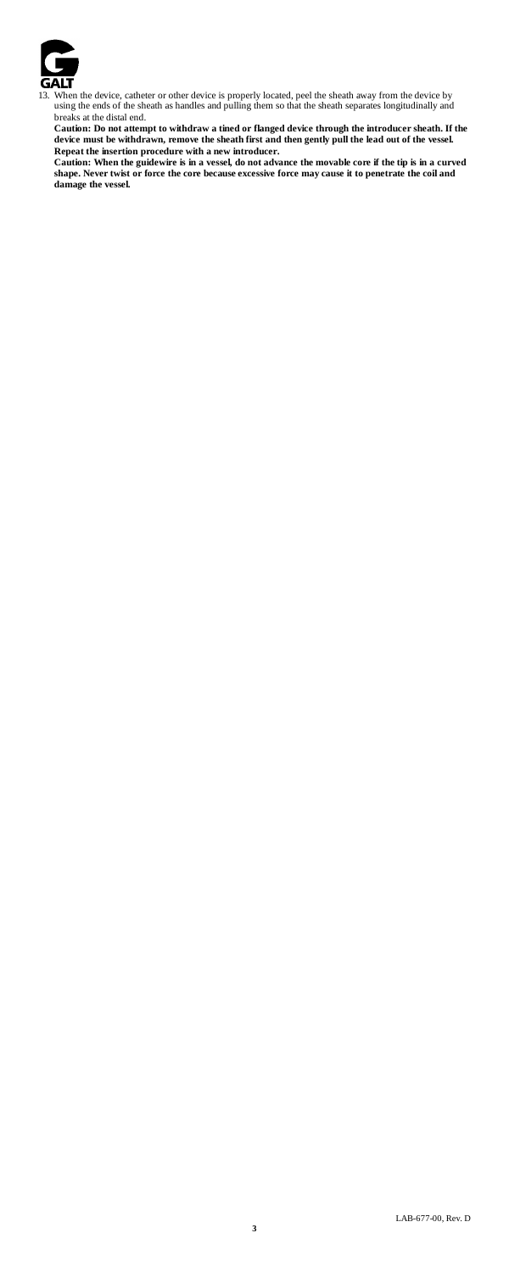

13. When the device, catheter or other device is properly located, peel the sheath away from the device by using the ends of the sheath as handles and pulling them so that the sheath separates longitudinally and breaks at the distal end.

Caution: Do not attempt to withdraw a tined or flanged device through the introducer sheath. If the<br>device must be withdrawn, remove the sheath first and then gently pull the lead out of the vessel.

Repeat the insertion procedure with a new introducer.<br>Caution: When the guidewire is in a vessel, do not advance the movable core if the tip is in a curved<br>shape. Never twist or force the core because excessive force may c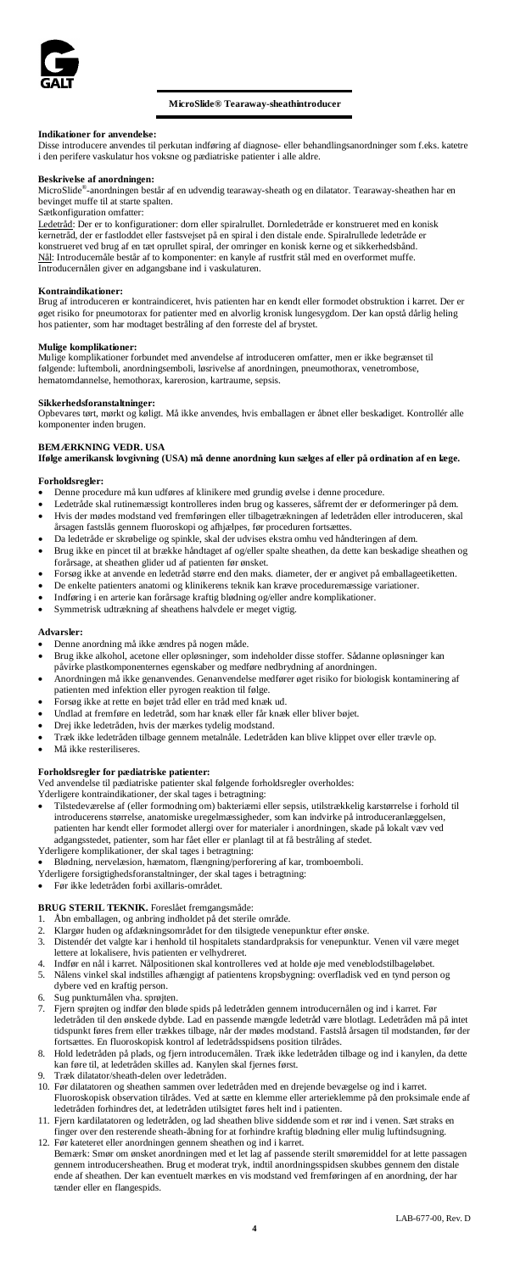

# **MicroSlide® Tearaway-sheathintroducer**

**Indikationer for anvendelse:** Disse introducere anvendes til perkutan indføring af diagnose- eller behandlingsanordninger som f.eks. katetre i den perifere vaskulatur hos voksne og pædiatriske patienter i alle aldre.

### **Beskrivelse af anordningen:**

MicroSlide®-anordningen består af en udvendig tearaway-sheath og en dilatator. Tearaway-sheathen har en bevinget muffe til at starte spalten.

Sætkonfiguration omfatter:

Ledetråd: Der er to konfigurationer: dorn eller spiralrullet. Dornledetråde er konstrueret med en koni kernetråd, der er fastloddet eller fastsvejset på en spiral i den distale ende. Spiralrullede ledetråde er konstrueret ved brug af en tæt oprullet spiral, der omringer en konisk kerne og et sikkerhedsbånd. Nål: Introducernåle består af to komponenter: en kanyle af rustfrit stål med en overformet muffe. Introducernålen giver en adgangsbane ind i vaskulaturen.

# **Kontraindikationer:**

Brug af introduceren er kontraindiceret, hvis patienten har en kendt eller formodet obstruktion i karret. Der er øget risiko for pneumotorax for patienter med en alvorlig kronisk lungesygdom. Der kan opstå dårlig heling hos patienter, som har modtaget bestråling af den forreste del af brystet.

### **Mulige komplikationer:**

Mulige komplikationer forbundet med anvendelse af introduceren omfatter, men er ikke begrænset til følgende: luftemboli, anordningsemboli, løsrivelse af anordningen, pneumothorax, venetrombose, hematomdannelse, hemothorax, karerosion, kartraume, sepsis.

# **Sikkerhedsforanstaltninger:**

Opbevares tørt, mørkt og køligt. Må ikke anvendes, hvis emballagen er åbnet eller beskadiget. Kontrollér alle komponenter inden brugen.

# **BEMÆRKNING VEDR. USA**

**Ifølge amerikansk lovgivning (USA) må denne anordning kun sælges af eller på ordination af en læge.**

# **Forholdsregler:**

• Denne procedure må kun udføres af klinikere med grundig øvelse i denne procedure.

- Ledetråde skal rutinemæssigt kontrolleres inden brug og kasseres, såfremt der er deformeringer på dem. • Hvis der mødes modstand ved fremføringen eller tilbagetrækningen af ledetråden eller introduceren, skal
- årsagen fastslås gennem fluoroskopi og afhjælpes, før proceduren fortsættes.
- Da ledetråde er skrøbelige og spinkle, skal der udvises ekstra omhu ved håndteringen af dem. Brug ikke en pincet til at brække håndtaget af og/eller spalte sheathen, da dette kan beskadige sheathen og<br>forårsage, at sheathen glider ud af patienten før ønsket sage, at sheathen glider ud af patienten før ønsket.
- Forsøg ikke at anvende en ledetråd større end den maks. diameter, der er angivet på emballageetiketten.
- De enkelte patienters anatomi og klinikerens teknik kan kræve proceduremæssige variationer.
- Indføring i en arterie kan forårsage kraftig blødning og/eller andre komplikationer.
- Symmetrisk udtrækning af sheathens halvdele er meget vigtig.

### **Advarsler:**

- Denne anordning må ikke ændres på nogen måde.
- Brug ikke alkohol, acetone eller opløsninger, som indeholder disse stoffer. Sådanne opløsninger kan påvirke plastkomponenternes egenskaber og medføre nedbrydning af anordningen.
- Anordningen må ikke genanvendes. Genanvendelse medfører øget risiko for biologisk kontaminering af patienten med infektion eller pyrogen reaktion til følge.
- Forsøg ikke at rette en bøjet tråd eller en tråd med knæk ud.
- Undlad at fremføre en ledetråd, som har knæk eller får knæk eller bliver bøjet.
- Drej ikke ledetråden, hvis der mærkes tydelig modstand.
- Træk ikke ledetråden tilbage gennem metalnåle. Ledetråden kan blive klippet over eller trævle op.
- Må ikke resteriliseres.

# **Forholdsregler for pædiatriske patienter:**

Ved anvendelse til pædiatriske patienter skal følgende forholdsregler overholdes:

- 
- Yderligere kontraindikationer, der skal tages i betragtning: Tilstedeværelse af (eller formodning om) bakteriæmi eller sepsis, utilstrækkelig karstørrelse i forhold til introducerens størrelse, anatomiske uregelmæssigheder, som kan indvirke på introduceranlæggelsen, patienten har kendt eller formodet allergi over for materialer i anordningen, skade på lokalt væv ved adgangsstedet, patienter, som har fået eller er planlagt til at få bestråling af stedet.
- Yderligere komplikationer, der skal tages i betragtning: • Blødning, nervelæsion, hæmatom, flængning/perforering af kar, tromboemboli.
- Yderligere forsigtighedsforanstaltninger, der skal tages i betragtning:
- Før ikke ledetråden forbi axillaris-området.

# **BRUG STERIL TEKNIK.** Foreslået fremgangsmåde:<br>1. Åbn emballagen, og apbring indholdet på det sterile

- Åbn emballagen, og anbring indholdet på det sterile område.
- 
- 2. Klargør huden og afdækningsområdet for den tilsigtede venepunktur efter ønske. 3. Distendér det valgte kar i henhold til hospitalets standardpraksis for venepunktur. Venen vil være meget lettere at lokalisere, hvis patienten er velhydreret.
- 4. Indfør en nål i karret. Nålpositionen skal kontrolleres ved at holde øje med veneblodstilbageløbet.
- 5. Nålens vinkel skal indstilles afhængigt af patientens kropsbygning: overfladisk ved en tynd person og dybere ved en kraftig person. 6. Sug punkturnålen vha. sprøjten.
- 
- 7. Fjern sprøjten og indfør den bløde spids på ledetråden gennem introducernålen og ind i karret. Før ledetråden til den ønskede dybde. Lad en passende mængde ledetråd være blotlagt. Ledetråden må på intet tidspunkt føres frem eller trækkes tilbage, når der mødes modstand. Fastslå årsagen til modstanden, før der fortsættes. En fluoroskopisk kontrol af ledetrådsspidsens position tilrådes.
- 8. Hold ledetråden på plads, og fjern introducernålen. Træk ikke ledetråden tilbage og ind i kanylen, da dette kan føre til, at ledetråden skilles ad. Kanylen skal fjernes først.
- 9. Træk dilatator/sheath-delen over ledetråden.
- 10. Før dilatatoren og sheathen sammen over ledetråden med en drejende bevægelse og ind i karret. Fluoroskopisk observation tilrådes. Ved at sætte en klemme eller arterieklemme på den proksimale ende af
- ledetråden forhindres det, at ledetråden utilsigtet føres helt ind i patienten. 11. Fjern kardilatatoren og ledetråden, og lad sheathen blive siddende som et rør ind i venen. Sæt straks en finger over den resterende sheath-åbning for at forhindre kraftig blødning eller mulig luftindsugning.
- 12. Før kateteret eller anordningen gennem sheathen og ind i karret. Bemærk: Smør om ønsket anordningen med et let lag af passende sterilt smøremiddel for at lette passagen gennem introducersheathen. Brug et moderat tryk, indtil anordningsspidsen skubbes gennem den distale ende af sheathen. Der kan eventuelt mærkes en vis modstand ved fremføringen af en anordning, der har tænder eller en flangespids.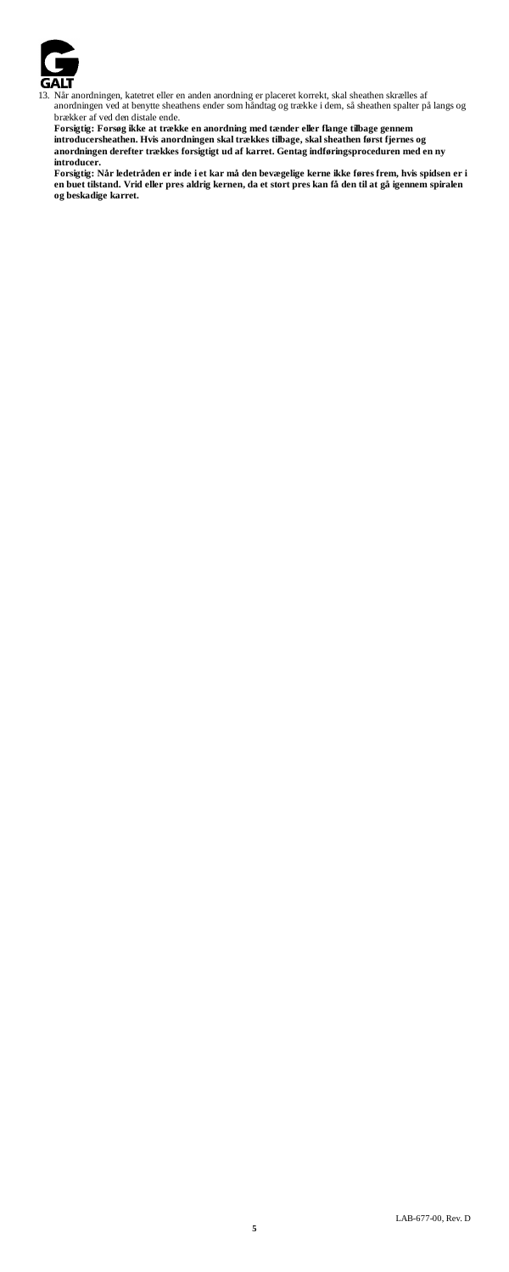

13. Når anordningen, katetret eller en anden anordning er placeret korrekt, skal sheathen skrælles af anordningen ved at benytte sheathens ender som håndtag og trække i dem, så sheathen spalter på langs og

brækker af ved den distale ende. Forsigtig: Forsøg ikke at trække en anordning med tænder eller flange tilbage gennem<br>introducersheathen. Hvis anordningen skal trækkes tilbage, skal sheathen først fjernes og<br>anordningen derefter trækkes forsigtigt ud af k

**introducer.** 

Forsigtig: Når ledetråden er inde i et kar må den bevægelige kerne ikke føres frem, hvis spidsen er i<br>en buet tilstand. Vrid eller pres aldrig kernen, da et stort pres kan få den til at gå igennem spiralen<br>og beskadige kar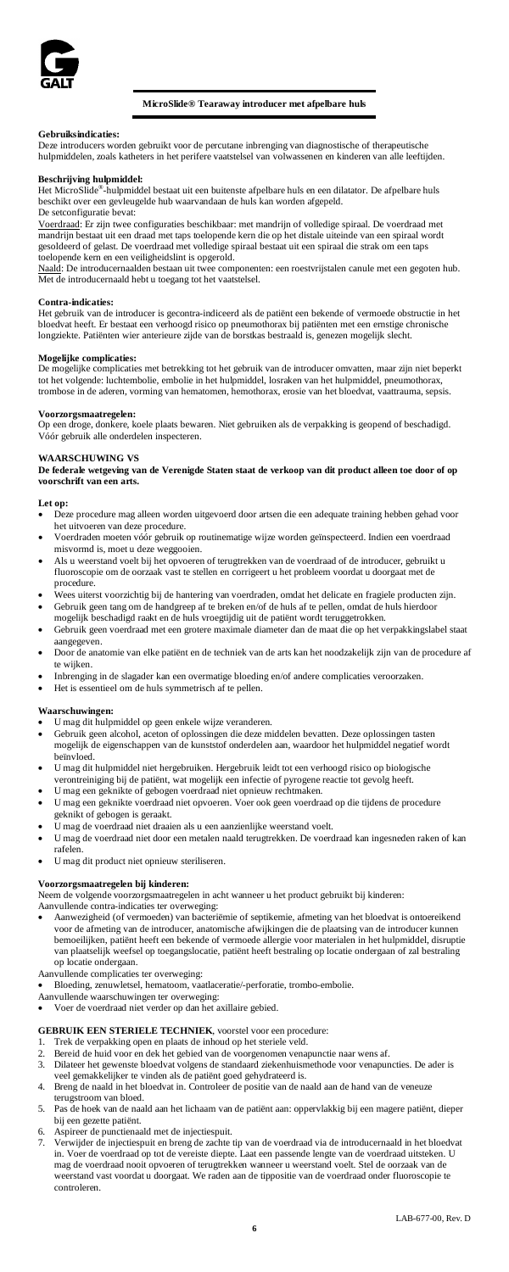

# **MicroSlide® Tearaway introducer met afpelbare huls**

# **Gebruiksindicaties:**

Deze introducers worden gebruikt voor de percutane inbrenging van diagnostische of therapeutische hulpmiddelen, zoals katheters in het perifere vaatstelsel van volwassenen en kinderen van alle leeftijden.

**Beschrijving hulpmiddel:**<br>Het MicroSlide®-hulpmiddel bestaat uit een buitenste afpelbare huls en een dilatator. De afpelbare huls beschikt over een gevleugelde hub waarvandaan de huls kan worden afgepeld. De setconfiguratie bevat:

Voerdraad: Er zijn twee configuraties beschikbaar: met mandrijn of volledige spiraal. De voerdraad m mandrijn bestaat uit een draad met taps toelopende kern die op het distale uiteinde van een spiraal wordt gesoldeerd of gelast. De voerdraad met volledige spiraal bestaat uit een spiraal die strak om een taps

toelopende kern en een veiligheidslint is opgerold.<br><u>Naald</u>: De introducernaalden bestaan uit twee componenten: een roestvrijstalen canule met een gegoten hub. Met de introducernaald hebt u toegang tot het vaatstelsel.

### **Contra-indicaties:**

Het gebruik van de introducer is gecontra-indiceerd als de patiënt een bekende of vermoede obstructie in het<br>bloedvat heeft. Er bestaat een verhoogd risico op pneumothorax bij patiënten met een emstige chronische<br>longziekt

**Mogelijke complicaties:** De mogelijke complicaties met betrekking tot het gebruik van de introducer omvatten, maar zijn niet beperkt tot het volgende: luchtembolie, embolie in het hulpmiddel, losraken van het hulpmiddel, pneumothorax, trombose in de aderen, vorming van hematomen, hemothorax, erosie van het bloedvat, vaattrauma, sepsis.

**Voorzorgsmaatregelen:**<br>Op een droge, donkere, koele plaats bewaren. Niet gebruiken als de verpakking is geopend of beschadigd. Vóór gebruik alle onderdelen inspecteren.

# **WAARSCHUWING VS**

**De federale wetgeving van de Verenigde Staten staat de verkoop van dit product alleen toe door of op voorschrift van een arts.**

# **Let op:**

- Deze procedure mag alleen worden uitgevoerd door artsen die een adequate training hebben gehad voor het uitvoeren van deze procedure.
- Voerdraden moeten vóór gebruik op routinematige wijze worden geïnspecteerd. Indien een voerdraad misvormd is, moet u deze weggooien.
- Als u weerstand voelt bij het opvoeren of terugtrekken van de voerdraad of de introducer, gebruikt u fluoroscopie om de oorzaak vast te stellen en corrigeert u het probleem voordat u doorgaat met de procedure.
- Wees uiterst voorzichtig bij de hantering van voerdraden, omdat het delicate en fragiele producten zijn. • Gebruik geen tang om de handgreep af te breken en/of de huls af te pellen, omdat de huls hierdoor
- mogelijk beschadigd raakt en de huls vroegtijdig uit de patiënt wordt teruggetrokken. • Gebruik geen voerdraad met een grotere maximale diameter dan de maat die op het verpakkingslabel staat
- aangegeven. Door de anatomie van elke patiënt en de techniek van de arts kan het noodzakelijk zijn van de procedure af te wijken.
- Inbrenging in de slagader kan een overmatige bloeding en/of andere complicaties veroorzaken. • Het is essentieel om de huls symmetrisch af te pellen.

### **Waarschuwingen:**

- U mag dit hulpmiddel op geen enkele wijze veranderen.
- Gebruik geen alcohol, aceton of oplossingen die deze middelen bevatten. Deze oplossingen tasten mogelijk de eigenschappen van de kunststof onderdelen aan, waardoor het hulpmiddel negatief wordt beïnvloed.
- U mag dit hulpmiddel niet hergebruiken. Hergebruik leidt tot een verhoogd risico op biologische verontreiniging bij de patiënt, wat mogelijk een infectie of pyrogene reactie tot gevolg heef
- U mag een geknikte of gebogen voerdraad niet opnieuw rechtmaken. • U mag een geknikte voerdraad niet opvoeren. Voer ook geen voerdraad op die tijdens de procedure geknikt of gebogen is geraakt.
- U mag de voerdraad niet draaien als u een aanzienlijke weerstand voelt.
- U mag de voerdraad niet door een metalen naald terugtrekken. De voerdraad kan ingesneden raken of kan rafelen.
- U mag dit product niet opnieuw steriliseren.

# **Voorzorgsmaatregelen bij kinderen:**

Neem de volgende voorzorgsmaatregelen in acht wanneer u het product gebruikt bij kinderen:

- Aanvullende contra-indicaties ter overweging:
- Aanwezigheid (of vermoeden) van bacteriëmie of septikemie, afmeting van het bloedvat is ontoereikend voor de afmeting van de introducer, anatomische afwijkingen die de plaatsing van de introducer kunnen bemoeilijken, patiënt heeft een bekende of vermoede allergie voor materialen in het hulpmiddel, disruptie van plaatselijk weefsel op toegangslocatie, patiënt heeft bestraling op locatie ondergaan of zal bestraling op locatie ondergaan.
- Aanvullende complicaties ter overweging: • Bloeding, zenuwletsel, hematoom, vaatlaceratie/-perforatie, trombo-embolie.
- 
- Aanvullende waarschuwingen ter overweging: Voer de voerdraad niet verder op dan het axillaire gebied.

# **GEBRUIK EEN STERIELE TECHNIEK**, voorstel voor een procedure:

- 1. Trek de verpakking open en plaats de inhoud op het steriele veld.
- 
- 2. Bereid de huid voor en dek het gebied van de voorgenomen venapunctie naar wens af. 3. Dilateer het gewenste bloedvat volgens de standaard ziekenhuismethode voor venapuncties. De ader is veel gemakkelijker te vinden als de patiënt goed gehydrateerd is.
- 4. Breng de naald in het bloedvat in. Controleer de positie van de naald aan de hand van de veneuze terugstroom van bloed.
- 5. Pas de hoek van de naald aan het lichaam van de patiënt aan: oppervlakkig bij een magere patiënt, dieper bij een gezette patiënt.
- 
- 6. Aspireer de punctienaald met de injectiespuit. 7. Verwijder de injectiespuit en breng de zachte tip van de voerdraad via de introducernaald in het bloedvat in. Voer de voerdraad op tot de vereiste diepte. Laat een passende lengte van de voerdraad uitsteken. U mag de voerdraad nooit opvoeren of terugtrekken wanneer u weerstand voelt. Stel de oorzaak van de weerstand vast voordat u doorgaat. We raden aan de tippositie van de voerdraad onder fluoroscopie te controleren.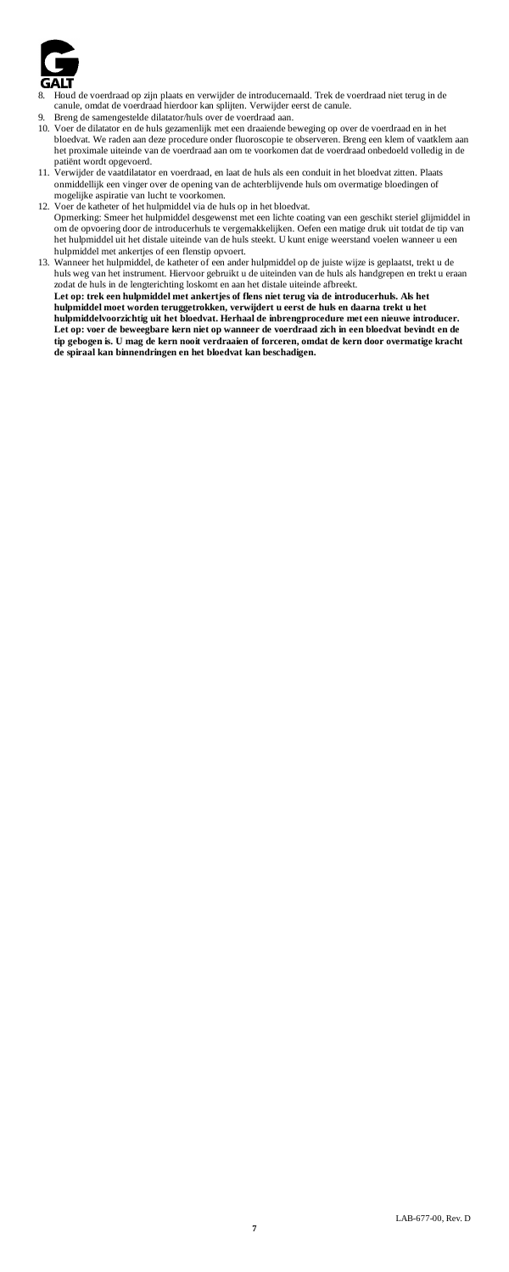

- 8. Houd de voerdraad op zijn plaats en verwijder de introducernaald. Trek de voerdraad niet terug in de canule, omdat de voerdraad hierdoor kan splijten. Verwijder eerst de canule.
- 9. Breng de samengestelde dilatator/huls over de voerdraad aan.
- 10. Voer de dilatator en de huls gezamenlijk met een draaiende beweging op over de voerdraad en in het<br>bloedvat. We raden aan deze procedure onder fluoroscopie te observeren. Breng een klenn of vaatklem aan<br>het proximale u
- patiënt wordt opgevoerd. 11. Verwijder de vaatdilatator en voerdraad, en laat de huls als een conduit in het bloedvat zitten. Plaats onmiddellijk een vinger over de opening van de achterblijvende huls om overmatige bloedingen of mogelijke aspiratie van lucht te voorkomen.
- 12. Voer de katheter of het hulpmiddel via de huls op in het bloedvat. Opmerking: Smeer het hulpmiddel desgewenst met een lichte coating van een geschikt steriel glijmiddel in om de opvoering door de introducerhuls te vergemakkelijken. Oefen een matige druk uit totdat de tip van het hulpmiddel uit het distale uiteinde van de huls steekt. U kunt enige weerstand voelen wanneer u een hulpmiddel met ankertjes of een flenstip opvoert.
- 13. Wanneer het hulpmiddel, de katheter of een ander hulpmiddel op de juiste wijze is geplaatst, trekt u de huls weg van het instrument. Hiervoor gebruikt u de uiteinden van de huls als handgrepen en trekt u eraan zodat de huls in de lengterichting loskomt en aan het distale uiteinde afbreekt.<br>**Let op: trek een hulpmiddel met ankertjes of flens niet terug via de introducerhuls. Als het hulpmiddel moet worden teruggetrokken, verwijdert u eerst de huls en daarna trekt u het hulpmiddelvoorzichtig uit het bloedvat. Herhaal de inbrengprocedure met een nieuwe introducer. Let op: voer de beweegbare kern niet op wanneer de voerdraad zich in een bloedvat bevindt en de tip gebogen is. U mag de kern nooit verdraaien of forceren, omdat de kern door overmatige kracht de spiraal kan binnendringen en het bloedvat kan beschadigen.**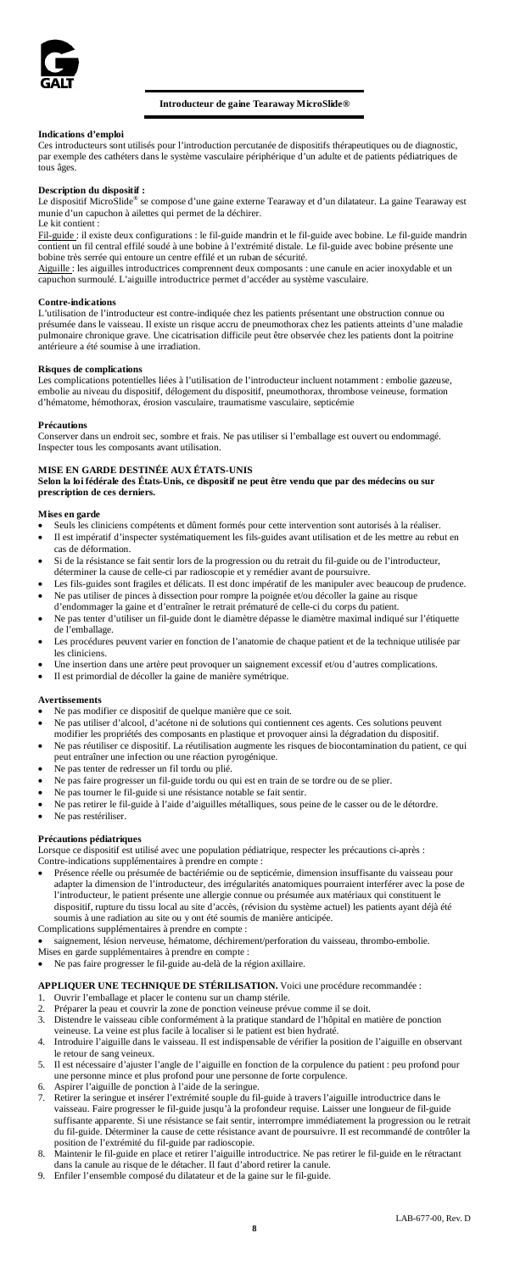

# **Introducteur de gaine Tearaway MicroSlide®**

# **Indications d'emploi**

Ces introducteurs sont utilisés pour l'introduction percutanée de dispositifs thérapeutiques ou de diagnostic, par exemple des cathéters dans le système vasculaire périphérique d'un adulte et de patients pédiatriques de tous âges

**Description du dispositif :**<br>Le dispositif MicroSlide® se compose d'une gaine externe Tearaway et d'un dilatateur. La gaine Tearaway est<br>munie d'un capuchon à ailettes qui permet de la déchirer. Le kit contient :

<u>Fil-guide :</u> il existe deux configurations : le fil-guide mandrin et le fil-guide avec bobine. Le fil-guide mandrin<br>contient un fil central effilé soudé à une bobine à l'extrémité distale. Le fil-guide avec bobine présent

bobine très serrée qui entoure un centre effilé et un ruban de sécurité.<br><u>Aiguille :</u> les aiguilles introductrices comprennent deux composants : une canule en acier inoxydable et un capuchon surmoulé. L'aiguille introductrice permet d'accéder au système vasculaire.

### **Contre-indications**

L'utilisation de l'introducteur est contre-indiquée chez les patients présentant une obstruction connue ou présumée dans le vaisseau. Il existe un risque accru de pneumothorax chez les patients atteints d'une maladie pulmonaire chronique grave. Une ciatrispic second de production dictatris dont la poitrine published antégieurs a drá cournise à une irradiation difficile peut être observée chez les patients dont la poitrine antégieurs a .<br>e à une irradiation.

## **Risques de complications**

Les complications potentielles liées à l'utilisation de l'introducteur incluent notamment : embolie gazeuse, embolie au niveau du dispositif, délogement du dispositif, pneumothorax, thrombose veineuse, formation d'hématome, hémothorax, érosion vasculaire, traumatisme vasculaire, septicémie

# **Précautions**

Conserver dans un endroit sec, sombre et frais. Ne pas utiliser si l'emballage est ouvert ou endommagé. Inspecter tous les composants avant utilisation.

# **MISE EN GARDE DESTINÉE AUX ÉTATS-UNIS**

**Selon la loi fédérale des États-Unis, ce dispositif ne peut être vendu que par des médecins ou sur prescription de ces derniers.**

- **Mises en garde** Seuls les cliniciens compétents et dûment formés pour cette intervention sont autorisés à la réaliser. • Il est impératif d'inspecter systématiquement les fils-guides avant utilisation et de les mettre au rebut en
- cas de déformation.
- Si de la résistance se fait sentir lors de la progression ou du retrait du fil-guide ou de l'introducteur, déterminer la cause de celle-ci par radioscopie et y remédier avant de poursuivre.<br>Les fils-guides sont fragiles et délicats. Il est donc impératif de les manipuler avec beaucoup de prudence.
- Les fils-guides sont fragiles et délicats. Il est donc impératif de les ma • Ne pas utiliser de pinces à dissection pour rompre la poignée et/ou décoller la gaine au risque
- d'endommager la gaine et d'entraîner le retrait prématuré de celle-ci du corps du patient.<br>Ne pas tenter d'utiliser un fil-guide dont le diamètre dépasse le diamètre maximal indiqué sur l'étiquette
- Ne pas tenter d'utiliser un fil-guide dont le diamètre département de l'emballage.
- Les procédures peuvent varier en fonction de l'anatomie de chaque patient et de la technique utilisée par les cliniciens.
- Une insertion dans une artère peut provoquer un saignement excessif et/ou d'autres complications.
- Il est primordial de décoller la gaine de manière symétrique.

### **Avertissements**

- Ne pas modifier ce dispositif de quelque manière que ce soit.
- Ne pas utiliser d'alcool, d'acétone ni de solutions qui contiennent ces agents. Ces solutions peuvent
- modifier les propriétés des composants en plastique et provoquer ainsi la dégradation du dispositif. • Ne pas réutiliser ce dispositif. La réutilisation augmente les risques de biocontamination du patient, ce qui peut entraîner une infection ou une réaction pyrogénique.
- Ne pas tenter de redresser un fil tordu ou plié.
- Ne pas faire progresser un fil-guide tordu ou qui est en train de se tordre ou de se plier.
- Ne pas tourner le fil-guide si une résistance notable se fait sentir.
- Ne pas retirer le fil-guide à l'aide d'aiguilles métalliques, sous peine de le casser ou de le détordre.
- Ne pas restériliser.

# **Précautions pédiatriques**

Lorsque ce dispositif est utilisé avec une population pédiatrique, respecter les précautions ci-après : Contre-indications supplémentaires à prendre en compte :

Présence réelle ou présumée de bactériémie ou de septicémie, dimension insuffisante du vaisseau pour adapter la dimension de l'introducteur, des irrégularités anatomiques pourraient interférer avec la pose de l'introducteur, le patient présente une allergie connue ou présumée aux matériaux qui constituent le dispositif, rupture du tissu local au site d'accès, (révision du système actuel) les patients ayant déjà été soumis à une radiation au site ou y ont été soumis de manière anticipée.

Complications supplémentaires à prendre en compte :

- saignement, lésion nerveuse, hématome, déchirement/perforation du vaisseau, thrombo-embolie.
- Mises en garde supplémentaires à prendre en compte :
- Ne pas faire progresser le fil-guide au-delà de la région axillaire.

**APPLIQUER UNE TECHNIQUE DE STÉRILISATION.** Voici une procédure recommandée :

- 1. Ouvrir l'emballage et placer le contenu sur un champ stérile.<br>2. Préparer la peau et couvrir la zone de ponction veineuse prév
- 2. Préparer la peau et couvrir la zone de ponction veineuse prévue comme il se doit.<br>2. Distendre le vaisseau cible conformément à la pratique standard de l'hônital en m
- 3. Distendre le vaisseau cible conformément à la pratique standard de l'hôpital en matière de ponction veineuse. La veine est plus facile à localiser si le patient est bien hydraté.
	- 4. Introduire l'aiguille dans le vaisseau. Il est indispensable de vérifier la position de l'aiguille en observant le retour de sang veineux. 5. Il est nécessaire d'ajuster l'angle de l'aiguille en fonction de la corpulence du patient : peu profond pour
	- une personne mince et plus profond pour une personne de forte corpulence.
- 
- 6. Aspirer l'aiguille de ponction à l'aide de la seringue. 7. Retirer la seringue et insérer l'extrémité souple du fil-guide à travers l'aiguille introductrice dans le vaisseau. Faire progresser le fil-guide jusqu'à la profondeur requise. Laisser une longueur de fil-guide suffisante apparente. Si une résistance se fait sentir, interrompre immédiatement la progression ou le retrait du fil-guide. Déterminer la cause de cette résistance avant de poursuivre. Il est recommandé de contrôler la
- position de l'extrémité du fil-guide par radioscopie. 8. Maintenir le fil-guide en place et retirer l'aiguille introductrice. Ne pas retirer le fil-guide en le rétractant
- dans la canule au risque de le détacher. Il faut d'abord retirer la canule. 9. Enfiler l'ensemble composé du dilatateur et de la gaine sur le fil-guide.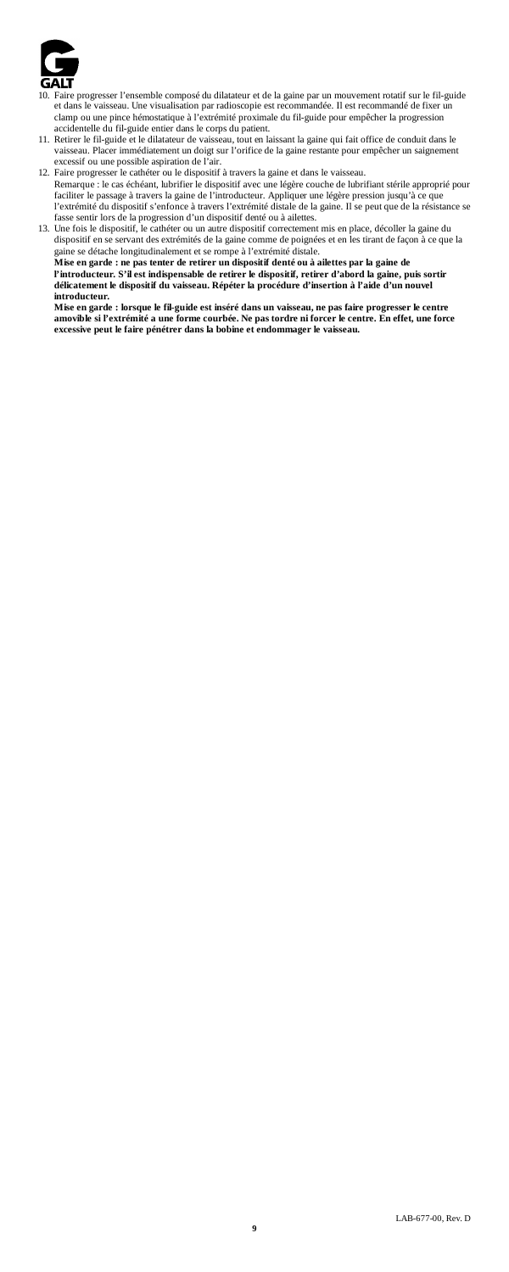

- Faire progresser l'ensemble composé du dilatateur et de la gaine par un mouvement rotatif sur le fil-guide et dans le vaisseau. Une visualisation par radioscopie est recommandée. Il est recommandé de fixer un clamp ou une pince hémostatique à l'extrémité proximale du fil-guide pour empêcher la progression
- accidentelle du fil-guide entier dans le corps du patient. 11. Retirer le fil-guide et le dilatateur de vaisseau, tout en laissant la gaine qui fait office de conduit dans le vaisseau. Placer immédiatement un doigt sur l'orifice de la gaine restante pour empêcher un saignement excessif ou une possible aspiration de l'air.
- 12. Faire progresser le cathéter ou le dispositif à travers la gaine et dans le vaisseau. Remarque : le cas échéant, lubrifier le dispositif avec une légère couche de lubrifiant stérile approprié pour faciliter le passage à travers la gaine de l'introducteur. Appliquer une légère pression jusqu'à ce que l'extrémité du dispositif s'enfonce à travers l'extrémité distale de la gaine. Il se peut que de la résistance se
- fasse sentir lors de la progression d'un dispositif denté ou à ailettes. 13. Une fois le dispositif, le cathéter ou un autre dispositif correctement mis en place, décoller la gaine du dispositif en se servant des extrémités de la gaine comme de poignées et en les tirant de façon à ce que la gaine se détache longitudinalement et se rompe à l'extrémité distale. **Mise en garde : ne pas tenter de retirer un dispositif denté ou à ailettes par la gaine de**  l'introducteur. S'il est indispensable de retirer le dispositif, retirer d'abord la gaine, puis sortir<br>délicatement le dispositif du vaisseau. Répéter la procédure d'insertion à l'aide d'un nouvel **introducteur.**

Mise en garde : lorsque le fil-guide est inséré dans un vaisseau, ne pas faire progresser le centre<br>amovible si l'extrémité a une forme courbée. Ne pas tordre ni forcer le centre. En effet, une force<br>excessive peut le fair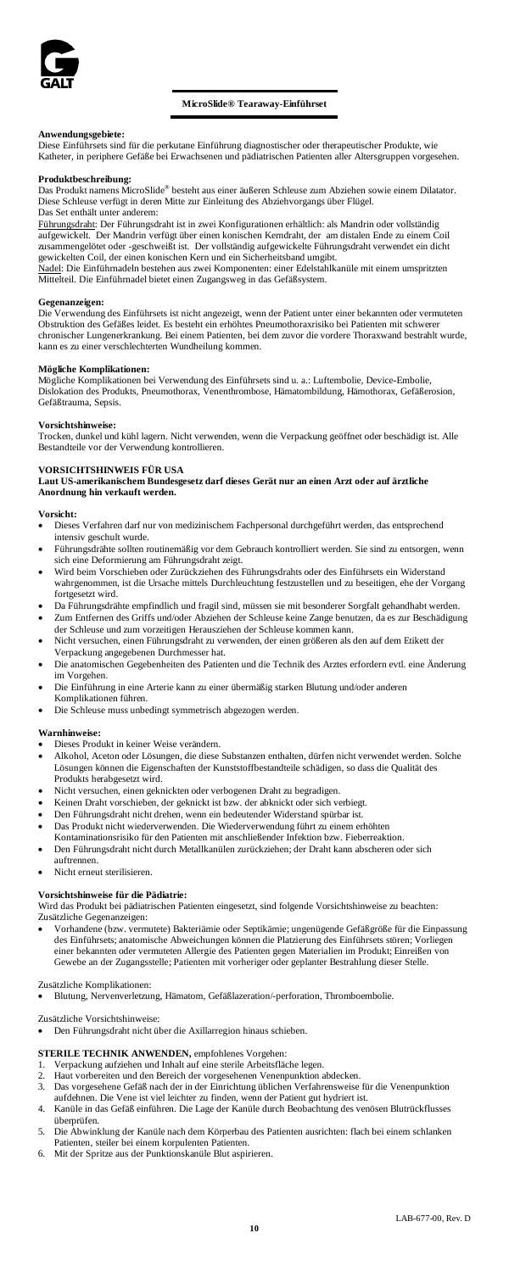

**Anwendungsgebiete:** Diese Einführsets sind für die perkutane Einführung diagnostischer oder therapeutischer Produkte, wie Katheter, in periphere Gefäße bei Erwachsenen und pädiatrischen Patienten aller Altersgruppen vorgesehen.

# **Produktbeschreibung:**

mens MicroSlide® besteht aus einer äußeren Schleuse zum Abziehen sowie einem Dilatator. Diese Schleuse verfügt in deren Mitte zur Einleitung des Abziehvorgangs über Flügel. Das Set enthält unter anderem:

<u>Führungsdraht</u>: Der Führungsdraht ist in zwei Konfigurationen erhältlich: als Mandrin oder vollständig<br>aufgewickelt. Der Mandrin verfügt über einen konischen Kemdraht, der am distalen Ende zu einem Coil<br>zusammengelötet od gewickelten Coil, der einen konischen Kern und ein Sicherheitsband umgibt. Radel: Die Einführnadeln bestehen aus zwei Komponenten: einer Edelstahlkanüle mit einem umspritzten

Mittelteil. Die Einführnadel bietet einen Zugangsweg in das Gefäßsystem.

**Gegenanzeigen:** ng des Einführsets ist nicht angezeigt, wenn der Patient unter einer bekannten oder vermuteten Obstruktion des Gefäßes leidet. Es besteht ein erhöhtes Pneumothoraxrisiko bei Patienten mit schwerer chronischer Lungenerkrankung. Bei einem Patienten, bei dem zuvor die vordere Thoraxwand bestrahlt wurde, kann es zu einer verschlechterten Wundheilung kommen. en Wundheilung kommen.

## **Mögliche Komplikationen:**

Mögliche Komplikationen bei Verwendung des Einführsets sind u. a.: Luftembolie, Device-Embolie, Dislokation des Produkts, Pneumothorax, Venenthrombose, Hämatombildung, Hämothorax, Gefäßerosion, Gefäßtrauma, Sepsis.

### **Vorsichtshinweise:**

Trocken, dunkel und kühl lagern. Nicht verwenden, wenn die Verpackung geöffnet oder beschädigt ist. Alle Bestandteile vor der Verwendung kontrollieren.

# **VORSICHTSHINWEIS FÜR USA**

**Laut US-amerikanischem Bundesgesetz darf dieses Gerät nur an einen Arzt oder auf ärztliche Anordnung hin verkauft werden.**

# **Vorsicht:**

- Dieses Verfahren darf nur von medizinischem Fachpersonal durchgeführt werden, das entspreche intensiv geschult wurde.
- Führungsdrähte sollten routinemäßig vor dem Gebrauch kontrolliert werden. Sie sind zu entsorgen, wenn
- sich eine Deformierung am Führungsdraht zeigt. Wird beim Vorschieben oder Zurückziehen des Führungsdrahts oder des Einführsets ein Widerstand wahrgenommen, ist die Ursache mittels Durchleuchtung festzustellen und zu beseitigen, ehe der Vorgang fortgesetzt wird.
- Da Führungsdrähte empfindlich und fragil sind, müssen sie mit besonderer Sorgfalt gehandhabt werde • Zum Entfernen des Griffs und/oder Abziehen der Schleuse keine Zange benutzen, da es zur Beschädigung
- der Schleuse und zum vorzeitigen Herausziehen der Schleuse kommen kann. • Nicht versuchen, einen Führungsdraht zu verwenden, der einen größeren als den auf dem Etikett der Verpackung angegebenen Durchmesser hat.
- Die anatomischen Gegebenheiten des Patienten und die Technik des Arztes erfordern evtl. eine Änderung im Vorgehen.
- Die Einführung in eine Arterie kann zu einer übermäßig starken Blutung und/oder anderen
- Komplikationen führen.
- Die Schleuse muss unbedingt symmetrisch abgezogen werden.

### **Warnhinweis**

- Dieses Produkt in keiner Weise verändern.
- Alkohol, Aceton oder Lösungen, die diese Substanzen enthalten, dürfen nicht verwendet werden. Solche Lösungen können die Eigenschaften der Kunststoffbestandteile schädigen, so dass die Qualität des Produkts herabgesetzt wird.
- Nicht versuchen, einen geknickten oder verbogenen Draht zu begradigen.
- Keinen Draht vorschieben, der geknickt ist bzw. der abknickt oder sich verbiegt.
- Den Führungsdraht nicht drehen, wenn ein bedeutender Widerstand spürbar ist.
- Das Produkt nicht wiederverwenden. Die Wiederverwendung führt zu einem erhöhten
- Kontaminationsrisiko für den Patienten mit anschließender Infektion bzw. Fieberreaktion. Den Führungsdraht nicht durch Metallkanülen zurückziehen; der Draht kann abscheren oder sich auftrennen.
- Nicht erneut sterilisieren

# **Vorsichtshinweise für die Pädiatrie:**

Wird das Produkt bei pädiatrischen Patienten eingesetzt, sind folgende Vorsichtshinweise zu beachten: Zusätzliche Gegenanzeigen:

• Vorhandene (bzw. vermutete) Bakteriämie oder Septikämie; ungenügende Gefäßgröße für die Einpassung des Einführsets; anatomische Abweichungen können die Platzierung des Einführs einer bekannten oder vermuteten Allergie des Patienten gegen Materialien im Produkt; Einreißen von Gewebe an der Zugangsstelle; Patienten mit vorheriger oder geplanter Bestrahlung dieser Stelle.

### Zusätzliche Komplikationen:

• Blutung, Nervenverletzung, Hämatom, Gefäßlazeration/-perforation, Thromboembolie.

Zusätzliche Vorsichtshinweise:

• Den Führungsdraht nicht über die Axillarregion hinaus schieben.

### **STERILE TECHNIK ANWENDEN,** empfohlenes Vorgehen:

- 1. Verpackung aufziehen und Inhalt auf eine sterile Arbeitsfläche legen.<br>2. Haut verbereiten und den Bereich der verseechnene Venennunktion
- 2. Haut vorbereiten und den Bereich der vorgesehenen Venenpunktion abdecken.<br>3. Das vorgesehene Gefäß nach der in der Finrichtung üblichen Verfahrensweise
- 3. Das vorgesehene Gefäß nach der in der Einrichtung üblichen Verfahrensweise für die Venenpunktion aufdehnen. Die Vene ist viel leichter zu finden, wenn der Patient gut hydriert ist.
- 4. Kanüle in das Gefäß einführen. Die Lage der Kanüle durch Beobachtung des venösen Blutrückflusses überprüfen.
- 5. Die Abwinklung der Kanüle nach dem Körperbau des Patienten ausrichten: flach bei einem schlanken Patienten, steiler bei einem korpulenten Patienten.
- 6. Mit der Spritze aus der Punktionskanüle Blut aspirieren.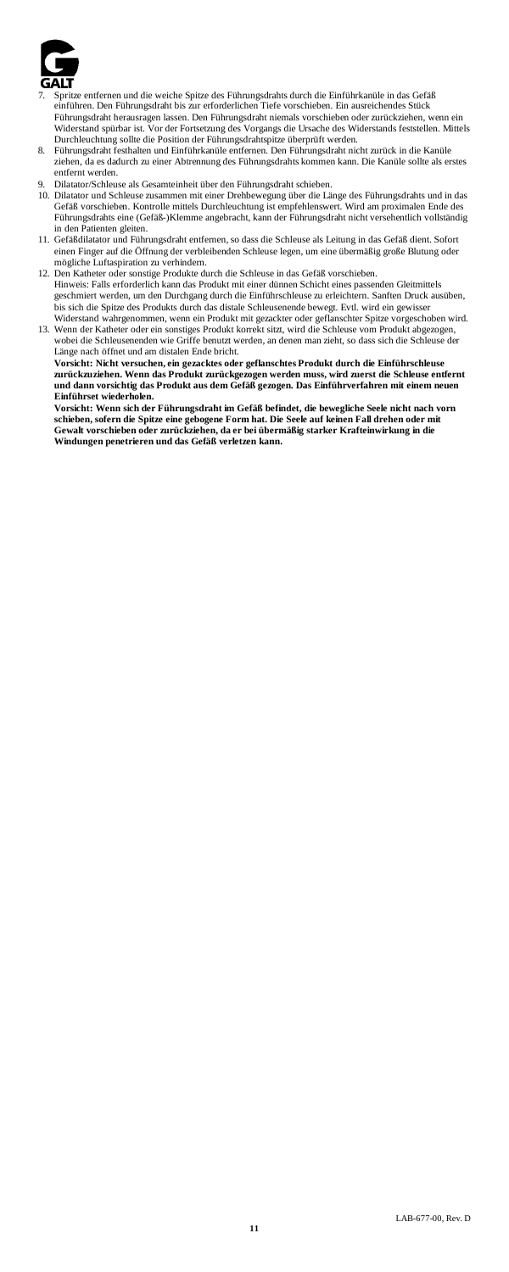

- 7. Spritze entfernen und die weiche Spitze des Führungsdrahts durch die Einführkanüle in das Gefäß einführen. Den Führungsdraht bis zur erforderlichen Tiefe vorschieben. Ein ausreichendes Stück Führungsdraht herausragen lassen. Den Führungsdraht niemals vorschieben oder zurückziehen, wenn ein Widerstand spürbar ist. Vor der Fortsetzung des Vorgangs die Ursache des Widerstands feststellen. Mittels Durchleuchtung sollte die Position der Führungsdrahtspitze überprüft werden.
- 8. Führungsdraht festhalten und Einführkanüle entfernen. Den Führungsdraht nicht zurück in die Kanüle ziehen, da es dadurch zu einer Abtrennung des Führungsdrahts kommen kann. Die Kanüle sollte als erstes entfernt werden.
- 9. Dilatator/Schleuse als Gesamteinheit über den Führungsdraht schieben.
- 10. Dilatator und Schleuse zusammen mit einer Drehbewegung über die Länge des Führungsdrahts und in das Gefäß vorschieben. Kontrolle mittels Durchleuchtung ist empfehlenswert. Wird am proximalen Ende des Führungsdrahts eine (Gefäß-)Klemme angebracht, kann der Führungsdraht nicht versehentlich vollständig in den Patienten gleiten.
- 11. Gefäßdilatator und Führungsdraht entfernen, so dass die Schleuse als Leitung in das Gefäß dient. Sofort einen Finger auf die Öffnung der verbleibenden Schleuse legen, um eine übermäßig große Blutung oder mögliche Luftaspiration zu verhindern.
- 12. Den Katheter oder sonstige Produkte durch die Schleuse in das Gefäß vorschieben. Hinweis: Falls erforderlich kann das Produkt mit einer dünnen Schicht eines passenden Gleitmittels geschmiert werden, um den Durchgang durch die Einführschleuse zu erleichtern. Sanften Druck ausüben, bis sich die Spitze des Produkts durch das distale Schleusenende bewegt. Evtl. wird ein gewisser Widerstand wahrgenommen, wenn ein Produkt mit gezackter oder geflanschter Spitze vorgeschoben wird.
- 13. Wenn der Katheter oder ein sonstiges Produkt korrekt sitzt, wird die Schleuse vom Produkt abgezogen, wobei die Schleusenenden wie Griffe benutzt werden, an denen man zieht, so dass sich die Schleuse der Länge nach öffnet und am distalen Ende bricht.

**Vorsicht: Nicht versuchen, ein gezacktes oder geflanschtes Produkt durch die Einführschleuse zurückzuziehen. Wenn das Produkt zurückgezogen werden muss, wird zuerst die Schleuse entfernt und dann vorsichtig das Produkt aus dem Gefäß gezogen. Das Einführverfahren mit einem neuen Einführset wiederholen.**

Vorsicht: Wenn sich der Führungsdraht im Gefäß befindet, die bewegliche Seele nicht nach vorn<br>schieben, sofern die Spitze eine gebogene Form hat. Die Seele auf keinen Fall drehen oder mit<br>Gewalt vorschieben oder zurückzieh **Windungen penetrieren und das Gefäß verletzen kann.**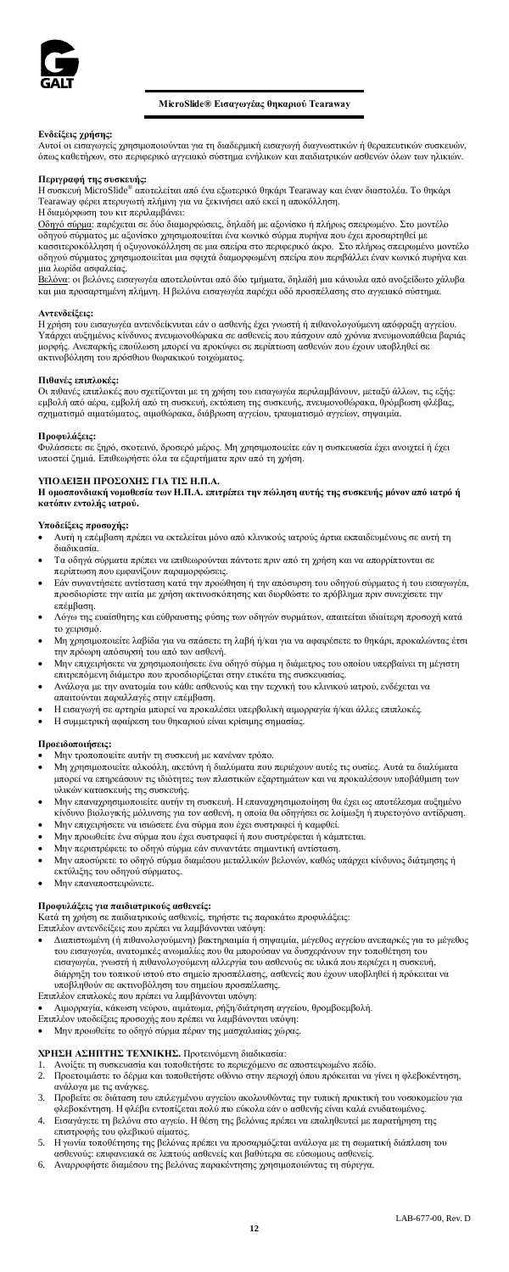

# **MicroSlide® Εισαγωγέας θηκαριού Tearaway**

**Ενδείξεις χρήσης:**<br>Αυτοί οι εισαγωγείς χρησιμοποιούνται για τη διαδερμική εισαγωγή διαγνωστικών ή θεραπευτικών συσκευών,<br>όπως καθετήρων, στο περιφερικό αγγειακό σύστημα ενήλικων και παιδιατρικών ασθενών όλων των ηλικιών.

**Περιγραφή της συσκευής:** Η συσκευή MicroSlide® αποτελείται από ένα εξωτερικό θηκάρι Tearaway και έναν διαστολέα. Το θηκάρι Tearaway φέρει πτερυγωτή πλήμνη για να ξεκινήσει από εκεί η αποκόλληση. Η διαμόρφωση του κιτ περιλαμβάνει:

<u>Οδηγό σύρμα</u>: παρέχεται σε δύο διαμορφώσεις, δηλαδή με αξονίσκο ή πλήρως σπειρωμένο. Στο μοντέλο<br>οδηγού σύρματος με αξονίσκο χρησιμοποιείται ένα κωνικό σύρμα πυρήνα που έχει προσαρτηθεί με<br>κασσιτεροκόλληση ή οξυγονοκόλλη οδηγού σύρματος χρησιμοποιείται μια σφιχτά διαμορφωμένη σπείρα που περιβάλλει έναν κωνικό πυρήνα και μια λωρίδα ασφαλείας.

<u>Βελόνα</u>: οι βελόνες εισαγωγέα αποτελούνται από δύο τμήματα, δηλαδή μια κάνουλα από ανοξείδωτο χάλυβα<br>και μια προσαρτημένη πλήμνη. Η βελόνα εισαγωγέα παρέχει οδό προσπέλασης στο αγγειακό σύστημα.

### **Αντενδείξεις:**

Η χρήση του εισαγωγέα αντενδείκνυται εάν ο ασθενής έχει γνωστή ή πιθανολογούμενη απόφραξη αγγείου. Υπάρχει αυξημένος κίνδυνος πνευμονοθώρακα σε ασθενείς που πάσχουν από χρόνια πνευμονοπάθεια βαριάς<br>μορφής. Ανεπαρκής επούλωση μπορεί να προκύψει σε περίπτωση ασθενών που έχουν υποβληθεί σε ακτινοβόληση του πρόσθιου θωρακικού τοιχώματος.

### **Πιθανές επιπλοκές:**

Οι πιθανές επιπλοκές που σχετίζονται με τη χρήση του εισαγωγέα περιλαμβάνουν, μεταξύ άλλων, τις εξής: εμβολή από αέρα, εμβολή από τη συσκευή, εκτόπιση της συσκευής, πνευμονοθώρακα, θρόμβωση φλέβας,<br>σχηματισμό αιματώματος, αιμοθώρακα, διάβρωση αγγείου, τραυματισμό αγγείων, σηψαιμία.

**Προφυλάξεις:**<br>Φυλάσσετε σε ξηρό, σκοτεινό, δροσερό μέρος. Μη χρησιμοποιείτε εάν η συσκευασία έχει ανοιχτεί ή έχει<br>υποστεί ζημιά. Επιθεωρήστε όλα τα εξαρτήματα πριν από τη χρήση.

ΥΠΟΔΕΙΞΗ ΠΡΟΣΟΧΗΣ ΓΙΑ ΤΙΣ Η.Π.Α.<br>Η ομοσπονδιακή νομοθεσία των Η.Π.Α. επιτρέπει την πώληση αυτής της συσκευής μόνον από ιατρό ή<br>κατόπιν εντολής ιατρού.

# **Υποδείξεις προσοχής:**

- 
- Αυτή η επέμβαση πρέπει να εκτελείται μόνο από κλινικούς ιατρούς άρτια εκπαιδευμένους σε αυτή τη διαδικασία.
- Τα οδηγά σύρματα πρέπει να επιθεωρούνται πάντοτε πριν από τη χρήση και να απορρίπτονται σε περίπτωση που εμφανίζουν παραμορφώσεις.
- Εάν συναντήσετε αντίσταση κατά την προώθηση ή την απόσυρση του οδηγού σύρματος ή του εισαγωγέα, προσδιορίστε την αιτία με χρήση ακτινοσκόπησης και διορθώστε το πρόβλημα πριν συνεχίσετε την επέμβαση.
- Λόγω της ευαίσθητης και εύθραυστης φύσης των οδηγών συρμάτων, απαιτείται ιδιαίτερη προσοχή κατά το χειρισμό.
- Μη χρησιμοποιείτε λαβίδα για να σπάσετε τη λαβή ή/και για να αφαιρέσετε το θηκάρι, προκαλώντας έτσι την πρόωρη απόσυρσή του από τον ασθενή.
- Μην επιχειρήσετε να χρησιμοποιήσετε ένα οδηγό σύρμα η διάμετρος του οποίου υπερβαίνει τη μέγιστη επιτρεπόμενη διάμετρο που προσδιορίζεται στην ετικέτα της συσκευασίας.
- Ανάλογα με την ανατομία του κάθε ασθενούς και την τεχνική του κλινικού ιατρού, ενδέχεται να απαιτούνται παραλλαγές στην επέμβαση.
- Η εισαγωγή σε αρτηρία μπορεί να προκαλέσει υπερβολική αιμορραγία ή/και άλλες επιπλοκές.
- Η συμμετρική αφαίρεση του θηκαριού είναι κρίσιμης σημασίας.

# **Προειδοποιήσεις:**

• Μην τροποποιείτε αυτήν τη συσκευή με κανέναν τρόπο.

- Μη χρησιμοποιείτε αλκοόλη, ακετόνη ή διαλύματα που περιέχουν αυτές τις ουσίες. Αυτά τα διαλύματα μπορεί να επηρεάσουν τις ιδιότητες των πλαστικών εξαρτημάτων και να προκαλέσουν υποβάθμιση των υλικών κατασκευής της συσκευής.
- Μην επαναχρησιμοποιείτε αυτήν τη συσκευή. Η επαναχρησιμοποίηση θα έχει ως αποτέλεσμα αυξημένο κίνδυνο βιολογικής μόλυνσης για τον ασθενή, η οποία θα οδηγήσει σε λοίμωξη ή πυρετογόνο αντίδραση.
- Μην επιχειρήσετε να ισιώσετε ένα σύρμα που έχει συστραφεί ή καμφθεί.
- Μην προωθείτε ένα σύρμα που έχει συστραφεί ή που συστρέφεται ή κάμπτεται.
- Μην περιστρέφετε το οδηγό σύρμα εάν συναντάτε σημαντική αντίσταση.
- Μην αποσύρετε το οδηγό σύρμα διαμέσου μεταλλικών βελονών, καθώς υπάρχει κίνδυνος διάτμησης ή εκτύλιξης του οδηγού σύρματος.
- Μην επαναποστειρώνετε.

**Προφυλάξεις για παιδιατρικούς ασθενείς:**<br>Κατά τη χρήση σε παιδιατρικούς ασθενείς, τηρήστε τις παρακάτω προφυλάξεις: Κατά τη χρήση σε παιδιατρικούς ασθενείς, τηρήστε τις παρακάτω προφυλάξεις: Επιπλέον αντενδείξεις που πρέπει να λαμβάνονται υπόψη:

- 
- Διαπιστωμένη (ή πιθανολογούμενη) βακτηριαιμία ή σηψαιμία, μέγεθος αγγείου ανεπαρκές για το μέγεθος του εισαγωγέα, ανατομικές ανωμαλίες που θα μπορούσαν να δυσχεράνουν την τοποθέτηση του εισαγωγέα, γνωστή ή πιθανολογούμενη αλλεργία του ασθενούς σε υλικά που περιέχει η συσκευή, διάρρηξη του τοπικού ιστού στο σημείο προσπέλασης, ασθενείς που έχουν υποβληθεί ή πρόκειται να υποβληθούν σε ακτινοβόληση του σημείου προσπέλασης. Επιπλέον επιπλοκές που πρέπει να λαμβάνονται υπόψη:
- 
- Αιμορραγία, κάκωση νεύρου, αιμάτωμα, ρήξη/διάτρηση αγγείου, θρομβοεμβολή.
- Επιπλέον υποδείξεις προσοχής που πρέπει να λαμβάνονται υπόψη: Μην προωθείτε το οδηγό σύρμα πέραν της μασχαλιαίας χώρας.
- 

- **ΧΡΗΣΗ ΑΣΗΠΤΗΣ ΤΕΧΝΙΚΗΣ.** Προτεινόμενη διαδικασία: 1. Ανοίξτε τη συσκευασία και τοποθετήστε το περιεχόμενο σε αποστειρωμένο πεδίο.
- 2. Προετοιμάστε το δέρμα και τοποθετήστε οθόνιο στην περιοχή όπου πρόκειται να γίνει η φλεβοκέντηση,
- ανάλογα με τις ανάγκες. 3. Προβείτε σε διάταση του επιλεγμένου αγγείου ακολουθώντας την τυπική πρακτική του νοσοκομείου για
- φλεβοκέντηση. Η φλέβα εντοπίζεται πολύ πιο εύκολα εάν ο ασθενής είναι καλά ενυδατωμένος. 4. Εισαγάγετε τη βελόνα στο αγγείο. Η θέση της βελόνας πρέπει να επαληθευτεί με παρατήρηση της επιστροφής του φλεβικού αίματος.
- 5. Η γωνία τοποθέτησης της βελόνας πρέπει να προσαρμόζεται ανάλογα με τη σωματική διάπλαση του ασθενούς: επιφανειακά σε λεπτούς ασθενείς και βαθύτερα σε εύσωμους ασθενείς. 6. Αναρροφήστε διαμέσου της βελόνας παρακέντησης χρησιμοποιώντας τη σύριγγα.
-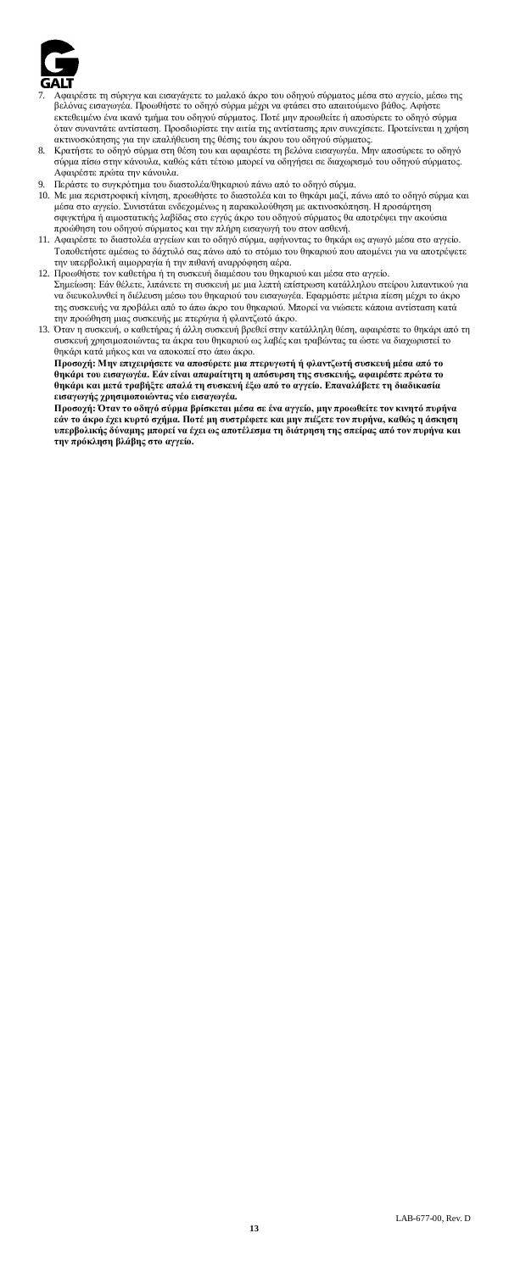

- -<br>αιρέστε τη σύριγγα και εισαγάγετε το μαλακό άκρο του οδηγού σύρματος μέσα στο αγγείο, μέσω της βελόνας εισαγωγέα. Προωθήστε το οδηγό σύρμα μέχρι να φτάσει στο απαιτούμενο βάθος. Αφήστε<br>εκτεθειμένο ένα ικανό τμήμα του οδηγού σύρματος. Ποτέ μην προωθείτε ή αποσύρετε το οδηγό σύρμα<br>όταν συναντάτε αντίσταση. Προσδιορίσ
- 8. Κρατήστε το οδηγό σύρμα στη θέση του και αφαιρέστε τη βελόνα εισαγωγέα. Μην αποσύρετε το οδηγό σύρμα πίσω στην κάνουλα, καθώς κάτι τέτοιο μπορεί να οδηγήσει σε διαχωρισμό του οδηγού σύρματος. Αφαιρέστε πρώτα την κάνουλα.
- 
- 9. Περάστε το συγκρότημα του διαστολέα/θηκαριού πάνω από το οδηγό σύρμα. 10. Με μια περιστροφική κίνηση, προωθήστε το διαστολέα και το θηκάρι μαζί, πάνω από το οδηγό σύρμα και μέσα στο αγγείο. Συνιστάται ενδεχομένως η παρακολούθηση με ακτινοσκόπηση. Η προσάρτηση σφιγκτήρα ή αιμοστατικής λαβίδας στο εγγύς άκρο του οδηγού σύρματος θα αποτρέψει την ακούσια προώθηση του οδηγού σύρματος και την πλήρη εισαγωγή του στον ασθενή.
- 11. Αφαιρέστε το διαστολέα αγγείων και το οδηγό σύρμα, αφήνοντας το θηκάρι ως αγωγό μέσα στο αγγείο. Τοποθετήστε αμέσως το δάχτυλό σας πάνω από το στόμιο του θηκαριού που απομένει για να αποτρέψετε την υπερβολική αιμορραγία ή την πιθανή αναρρόφηση αέρα.
- 12. Προωθήστε τον καθετήρα ή τη συσκευή διαμέσου του θηκαριού και μέσα στο αγγείο. Σημείωση: Εάν θέλετε, λιπάνετε τη συσκευή με μια λεπτή επίστρωση κατάλληλου στείρου λιπαντικού για να διευκολυνθεί η διέλευση μέσω του θηκαριού του εισαγωγέα. Εφαρμόστε μέτρια πίεση μέχρι το άκρο της συσκευής να προβάλει από το άπω άκρο του θηκαριού. Μπορεί να νιώσετε κάποια αντίσταση κατά<br>την προώθηση μιας συσκευής με πτερύγια ή φλαντζωτό άκρο.<br>13. Όταν η συσκευή, ο καθετήρας ή άλλη συσκευή βρεθεί στην κατάλληλη
- συσκευή χρησιμοποιώντας τα άκρα του θηκαριού ως λαβές και τραβώντας τα ώστε να διαχωριστεί το θηκάρι κατά μήκος και να αποκοπεί στο άπω άκρο. Προσοχή: Μην επιχειρήσετε να αποσύρετε μια πτερυγωτή ή φλαντζωτή συσκευή μέσα από το<br>θηκάρι του εισαγωγέα. Εάν είναι απαραίτητη η απόσυρση της συσκευής, αφαιρέστε πρώτοτα<br>θηκάρι και μετά τραβήξτε απαλά τη συσκευή έξω από

**εισαγωγής χρησιμοποιώντας νέο εισαγωγέα.**

Προσοχή: Όταν το οδηγό σύρμα βρίσκεται μέσα σε ένα αγγείο, μην προωθείτε τον κινητό πυρήνα<br>εάν το άκρο έχει κυρτό σχήμα. Ποτέ μη συστρέφετε και μην πιέζετε τον πυρήνα, καθώς η άσκηση<br>υπερβολικής δύναμης μπορεί να έχει ως **την πρόκληση βλάβης στο αγγείο.**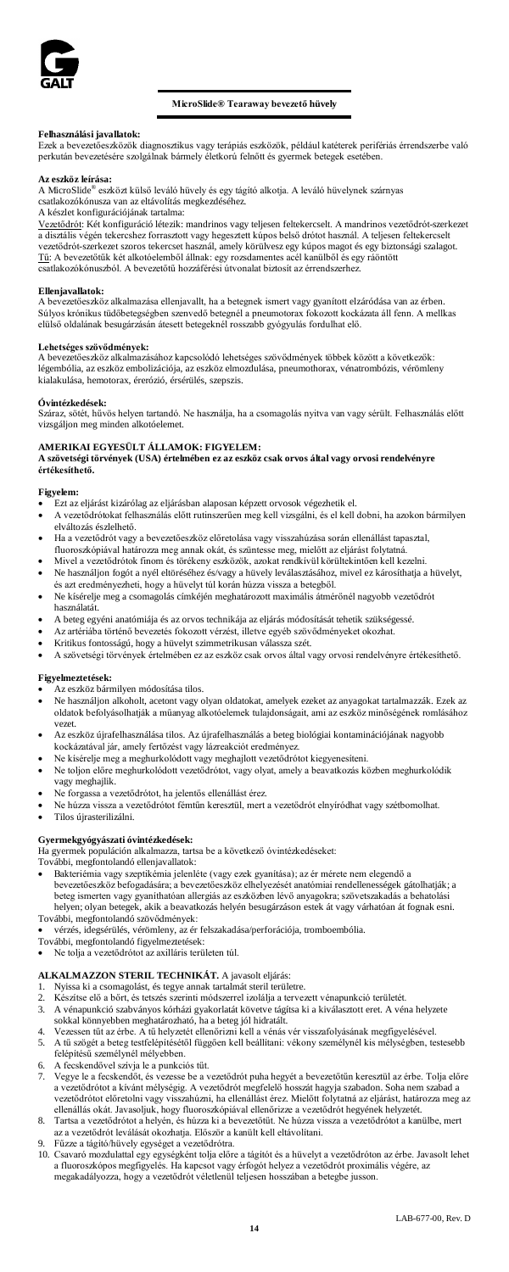

# **MicroSlide® Tearaway bevezető hüvely**

**Felhasználási javallatok:** Ezek a bevezetőeszközök diagnosztikus vagy terápiás eszközök, például katéterek perifériás érrendszerbe való perkután bevezetésére szolgálnak bármely életkorú felnőtt és gyermek betegek esetében.

# **Az eszköz leírása:**

A MicroSlide® eszközt külső leváló hüvely és egy tágító alkotja. A leváló hüvelynek szárnyas csatlakozókónusza van az eltávolítás megkezdéséhez.

A készlet konfigurációjának tartalma:

<u>Vezetődrót</u>: Két konfiguráció létezik: mandrinos vagy teljesen feltekercselt. A mandrinos vezetődrót-szerkezet<br>a disztális végén tekercshez forrasztott vagy hegesztett kúpos belső drótot használ. A teljesen feltekercselt<br> Tű: A bevezetőtűk két alkotóelemből állnak: egy rozsdamentes acél kanülből és egy ráöntött csatlakozókónuszból. A bevezetőtű hozzáférési útvonalat biztosít az érrendszerhez.

# **Ellenjavallatok:**

A bevezetőeszköz alkalmazása ellenjavallt, ha a betegnek ismert vagy gyanított elzáródása van az érben. Súlyos krónikus tüdőbetegségben szenvedő betegnél a pneumotorax fokozott kockázata áll fenn. A mellkas<br>elülső oldalának besugárzásán átesett betegeknél rosszabb gyógyulás fordulhat elő.

# **Lehetséges szövődmények:**

A bevezetőeszköz alkalmazásához kapcsolódó lehetséges szövődmények többek között a következők: légembólia, az eszköz embolizációja, az eszköz elmozdulása, pneumothorax, vénatrombózis, vérömleny kialakulása, hemotorax, érerózió, érsérülés, szepszis.

### **Óvintézkedések:**

Száraz, sötét, hűvös helyen tartandó. Ne használja, ha a csomagolás nyitva van vagy sérült. Felhasználás előtt vizsgáljon meg minden alkotóelemet.

# **AMERIKAI EGYESÜLT ÁLLAMOK: FIGYELEM:**

**A szövetségi törvények (USA) értelmében ez az eszköz csak orvos által vagy orvosi rendelvényre értékesíthető.**

### **Figyelem:**

- Ezt az eljárást kizárólag az eljárásban alaposan képzett orvosok végezhetik el.
- A vezetődrótokat felhasználás előtt rutinszerűen meg kell vizsgálni, és el kell dobni, ha azokon bármilyen elváltozás észlelhető.
- Ha a vezetődrót vagy a bevezetőeszköz előretolása vagy visszahúzása során ellenállást tapasztal,
- 
- fluoroszkópiával határozza meg annak okát, és szüntesse meg, mielőtt az eljárást folytatná.<br>● Mivel a vezetődrótok finom és törékeny eszközök, azokat rendkívül körültekintően kell kezelni.<br>● Ne használjon fogót a és azt eredményezheti, hogy a hüvelyt túl korán húzza vissza a betegből.
- Ne kísérelje meg a csomagolás címkéjén meghatározott maximális átmérőnél nagyobb vezetődrót
- használatát. • A beteg egyéni anatómiája és az orvos technikája az eljárás módosítását tehetik szükségessé.
- Az artériába történő bevezetés fokozott vérzést, illetve egyéb szövődményeket okozhat.
- Kritikus fontosságú, hogy a hüvelyt szimmetrikusan válassza szét.
- A szövetségi törvények értelmében ez az eszköz csak orvos által vagy orvosi rendelvényre értékesíthető.

### **Figyelmeztetések:**

- Az eszköz bármilyen módosítása tilos.
- Ne használjon alkoholt, acetont vagy olyan oldatokat, amelyek ezeket az anyagokat tartalmazzák. Ezek az oldatok befolyásolhatják a műanyag alkotóelemek tulajdonságait, ami az eszköz minőségének romlásához vezet.
- Az eszköz újrafelhasználása tilos. Az újrafelhasználás a beteg biológiai kontaminációjának nagyobb kockázatával jár, amely fertőzést vagy lázreakciót eredményez.
- Ne kísérelje meg a meghurkolódott vagy meghajlott vezetődrótot kiegyenesíteni.
- Ne toljon előre meghurkolódott vezetődrótot, vagy olyat, amely a beavatkozás közben meghurkolódik vagy meghajlik.
- Ne forgassa a vezetődrótot, ha jelentős ellenállást érez.
- Ne húzza vissza a vezetődrótot fémtűn keresztül, mert a vezetődrót elnyíródhat vagy szétbomolhat.
- Tilos újrasterilizálni.

# **Gyermekgyógyászati óvintézkedések:**

Ha gyermek populáción alkalmazza, tartsa be a következő óvintézkedéseket:

- További, megfontolandó ellenjavallatok:
- Bakteriémia vagy szeptikémia jelenléte (vagy ezek gyanítása); az ér mérete nem elegendő a bevezetőeszköz befogadására; a bevezetőeszköz elhelyezését anatómiai rendellenességek gátolhatják; a<br>beteg ismerten vagy gyanithatóan allergiás az eszkőzben lévő anyagokra; szövetszakadás a behatolási<br>helyen; olyan betegek További, megfontolandó szövődmények:
- vérzés, idegsérülés, vérömleny, az ér felszakadása/perforációja, tromboembólia. További, megfontolandó figyelmeztetések:
- 
- Ne tolja a vezetődrótot az axilláris területen túl.

# **ALKALMAZZON STERIL TECHNIKÁT.** A javasolt eljárás:

- 1. Nyissa ki a csomagolást, és tegye annak tartalmát steril területre.<br>2. Készítse elő a bőrt, és tetszés szerinti módszerrel izolálja a tervez
- 2. Készítse elő a bőrt, és tetszés szerinti módszerrel izolálja a tervezett vénapunkció területét.
- 3. A vénapunkció szabványos kórházi gyakorlatát követve tágítsa ki a kiválasztott eret. A véna helyzete sokkal könnyebben meghatározható, ha a beteg jól hidratált. 4. Vezessen tűt az érbe. A tű helyzetét ellenőrizni kell a vénás vér visszafolyásának megfigyelésével.
- 5. A tű szögét a beteg testfelépítésétől függően kell beállítani: vékony személynél kis mélységben, testesebb felépítésű személynél mélyebben.
- 
- 6. A fecskendővel szívja le a punkciós tűt. 7. Vegye le a fecskendőt, és vezesse be a vezetődrót puha hegyét a bevezetőtűn keresztül az érbe. Tolja előre a vezetődrótot a kívánt mélységig. A vezetődrót megfelelő hosszát hagyja szabadon. Soha nem szabad a<br>vezetődrótot előretolni vagy visszahúzni, ha ellenállást érez. Mielőtt folytatná az eljárást, határozza meg az<br>ellenállás
- 8. Tartsa a vezetődrótot a helyén, és húzza ki a bevezetőtűt. Ne húzza vissza a vezetődrótot a kanülbe, mert az a vezetődrót leválását okozhatja. Először a kanült kell eltávolítani. 9. Fűzze a tágító/hüvely egységet a vezetődrótra.
- 10. Csavaró mozdulattal egy egységként tolja előre a tágítót és a hüvelyt a vezetődróton az érbe. Javasolt lehet a fluoroszkópos megfigyelés. Ha kapcsot vagy érfogót helyez a vezetődrót proximális végére, az megakadályozza, hogy a vezetődrót véletlenül teljesen hosszában a betegbe jusson.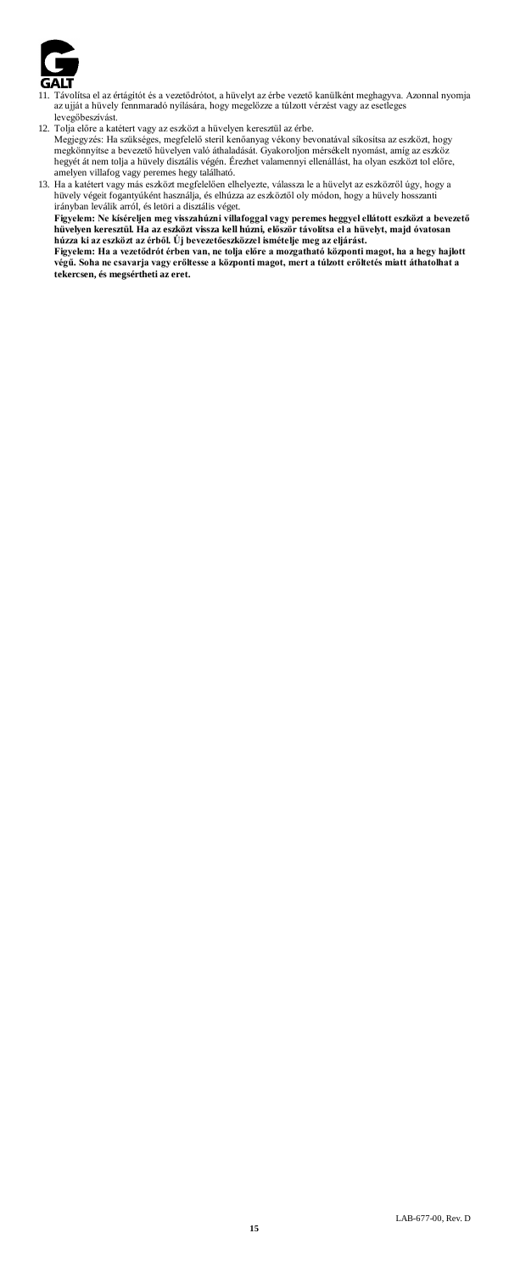

- 11. Távolítsa el az értágítót és a vezetődrótot, a hüvelyt az érbe vezető kanülként meghagyva. Azonnal nyomja az ujját a hüvely fennmaradó nyílására, hogy megelőzze a túlzott vérzést vagy az esetleges levegőbeszívást.
- 
- 12. Tolja előre a katétert vagy az eszközt a hüvelyen keresztül az érbe.<br>Megjegyzés: Ha szükséges, megfelelő steril kenőanyag vékony bevonatával síkosítsa az eszközt, hogy<br>megkönnyítse a bevezető hüvelyen való áthaladását. hegyét át nem tolja a hüvely disztális végén. Érezhet valamennyi ellenállást, ha olyan eszközt tol előre, amelyen villafog vagy peremes hegy található.
- 

13. Ha a katétert vagy más eszközt megfelelően elhelyezte, válassza le a hűvelyt az eszközről úgy, hogy a hűvely végét fogantyűként használja, és elhúzza az eszköztől oly módon, hogy a hűvely hosszanti<br>tároly végét foganty

**Figyelem: Ha a vezetődrót érben van, ne tolja előre a mozgatható központi magot, ha a hegy hajlott végű. Soha ne csavarja vagy erőltesse a központi magot, mert a túlzott erőltetés miatt áthatolhat a tekercsen, és megsértheti az eret.**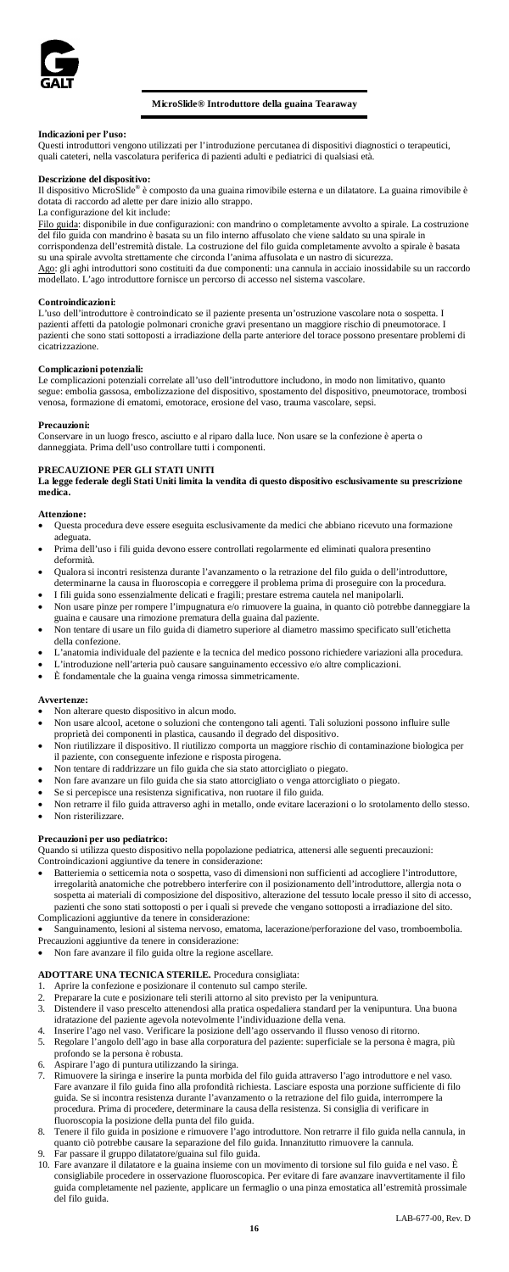

# **MicroSlide® Introduttore della guaina Tearaway**

# **Indicazioni per l'uso:**

Questi introduttori vengono utilizzati per l'introduzione percutanea di dispositivi diagnostici o terapeutici, quali cateteri, nella vascolatura periferica di pazienti adulti e pediatrici di qualsiasi età.

**Descrizione del dispositivo:** Il dispositivo MicroSlide® è composto da una guaina rimovibile esterna e un dilatatore. La guaina rimovibile è dotata di raccordo ad alette per dare inizio allo strappo.

# La configurazione del kit include:

Filo guida: disponibile in due configurazioni: con mandrino o completamente avvolto a spirale. La costruzione del filo guida con mandrino è basata su un filo interno affusolato che viene saldato su una spirale in del filo guida con mandrino è basata su un filo interno affusolato che viene saldato su una spirale in corrispondenza dell'estremità distale. La costruzione del filo guida completamente avvolto a spirale è basata su una spirale avvolta strettamente che circonda l'anima affusolata e un nastro di sicurezza.<br><u>Ago</u>: gli aghi introduttori sono costituiti da due componenti: una cannula in acciaio inossidabile su un raccordo modellato. L'ago introduttore fornisce un percorso di accesso nel sistema vascolare.

### **Controindicazioni:**

L'uso dell'introduttore è controindicato se il paziente presenta un'ostruzione vascolare nota o sospetta. I<br>pazienti affetti da patologie polmonari croniche gravi presentano un maggiore rischio di pneumotorace. I<br>pazienti .<br>cicatrizzazione.

# **Complicazioni potenziali:**

Le complicazioni potenziali correlate all'uso dell'introduttore includono, in modo non limitativo, quanto segue: embolia gassosa, embolizzazione del dispositivo, spostamento del dispositivo, pneumotorace, trombosi venosa, formazione di ematomi, emotorace, erosione del vaso, trauma vascolare, sepsi.

## **Precauzioni:**

Conservare in un luogo fresco, asciutto e al riparo dalla luce. Non usare se la confezione è aperta o danneggiata. Prima dell'uso controllare tutti i componenti.

**PRECAUZIONE PER GLI STATI UNITI La legge federale degli Stati Uniti limita la vendita di questo dispositivo esclusivamente su prescrizione medica.**

### **Attenzione:**

- Questa procedura deve essere eseguita esclusivamente da medici che abbiano ricevuto una formazione adeguata.
- Prima dell'uso i fili guida devono essere controllati regolarmente ed eliminati qualora presentino deformità.
- Qualora si incontri resistenza durante l'avanzamento o la retrazione del filo guida o dell'introduttore, determinarne la causa in fluoroscopia e correggere il problema prima di proseguire con la procedura. • I fili guida sono essenzialmente delicati e fragili; prestare estrema cautela nel manipolarli.
- Non usare pinze per rompere l'impugnatura e/o rimuovere la guaina, in quanto ciò potrebbe danneggiare la
- guaina e causare una rimozione prematura della guaina dal paziente. • Non tentare di usare un filo guida di diametro superiore al diametro massimo specificato sull'etichetta
- della confezione. • L'anatomia individuale del paziente e la tecnica del medico possono richiedere variazioni alla procedura.
- L'introduzione nell'arteria può causare sanguinamento eccessivo e/o altre complicazioni.
- È fondamentale che la guaina venga rimossa simmetricamente.

### **Avvertenze:**

- Non alterare questo dispositivo in alcun modo.
- Non usare alcool, acetone o soluzioni che contengono tali agenti. Tali soluzioni possono influire sulle proprietà dei componenti in plastica, causando il degrado del dispositivo. • Non riutilizzare il dispositivo. Il riutilizzo comporta un maggiore rischio di contaminazione biologica per
- il paziente, con conseguente infezione e risposta pirogena.
- Non tentare di raddrizzare un filo guida che sia stato attorcigliato o piegato.
- Non fare avanzare un filo guida che sia stato attorcigliato o venga attorcigliato o piegato.
- Se si percepisce una resistenza significativa, non ruotare il filo guida.
- Non retrarre il filo guida attraverso aghi in metallo, onde evitare lacerazioni o lo srotolamento dello stesso. • Non risterilizzare.

# **Precauzioni per uso pediatrico:**

Quando si utilizza questo dispositivo nella popolazione pediatrica, attenersi alle seguenti precauzioni: Controindicazioni aggiuntive da tenere in considerazione:

- Batteriemia o setticemia nota o sospetta, vaso di dimensioni non sufficienti ad accogliere l'introduttore, irregolarità anatomiche che potrebbero interferire con il posizionamento dell'introduttore, allergia nota o sospetta ai materiali di composizione del dispositivo, alterazione del tessuto locale presso il sito di accesso, pazienti che sono stati sottoposti o per i quali si prevede che vengano sottoposti a irradiazione del sito. Complicazioni aggiuntive da tenere in considerazione
- Sanguinamento, lesioni al sistema nervoso, ematoma, lacerazione/perforazione del vaso, tromboembolia. Precauzioni aggiuntive da tenere in considerazione:
- Non fare avanzare il filo guida oltre la regione ascellare.

# **ADOTTARE UNA TECNICA STERILE.** Procedura consigliata:

- 
- 1. Aprire la confezione e posizionare il contenuto sul campo sterile. 2. Preparare la cute e posizionare teli sterili attorno al sito previsto per la venipuntura.
- 3. Distendere il vaso prescelto attenendosi alla pratica ospedaliera standard per la venipuntura. Una buona idratazione del paziente agevola notevolmente l'individuazione della vena.
- 4. Inserire l'ago nel vaso. Verificare la posizione dell'ago osservando il flusso venoso di ritorno. 5. Regolare l'angolo dell'ago in base alla corporatura del paziente: superficiale se la persona è magra, più
- profondo se la persona è robusta. 6. Aspirare l'ago di puntura utilizzando la siringa.
- Rimuovere la siringa e inserire la punta morbida del filo guida attraverso l'ago introduttore e nel vaso. Fare avanzare il filo guida fino alla profondità richiesta. Lasciare esposta una porzione sufficiente di filo guida. Se si incontra resistenza durante l'avanzamento o la retrazione del filo guida, interrompere la procedura. Prima di procedere, determinare la causa della resistenza. Si consiglia di verificare in fluoroscopia la posizione della punta del filo guida.
- Tenere il filo guida in posizione e rimuovere l'ago introduttore. Non retrarre il filo guida nella cannula, in quanto ciò potrebbe causare la separazione del filo guida. Innanzitutto rimuovere la cannula. quanto ciò potrebbe causare la separazione del filo guida. Innanzitutto rimuovere la cannula. 9. Far passare il gruppo dilatatore/guaina sul filo guida.
- 
- 10. Fare avanzare il dilatatore e la guaina insieme con un movimento di torsione sul filo guida e nel vaso. È consigliabile procedere in osservazione fluoroscopica. Per evitare di fare avanzare inavvertitamente il filo guida completamente nel paziente, applicare un fermaglio o una pinza emostatica all'estremità prossimale del filo guida.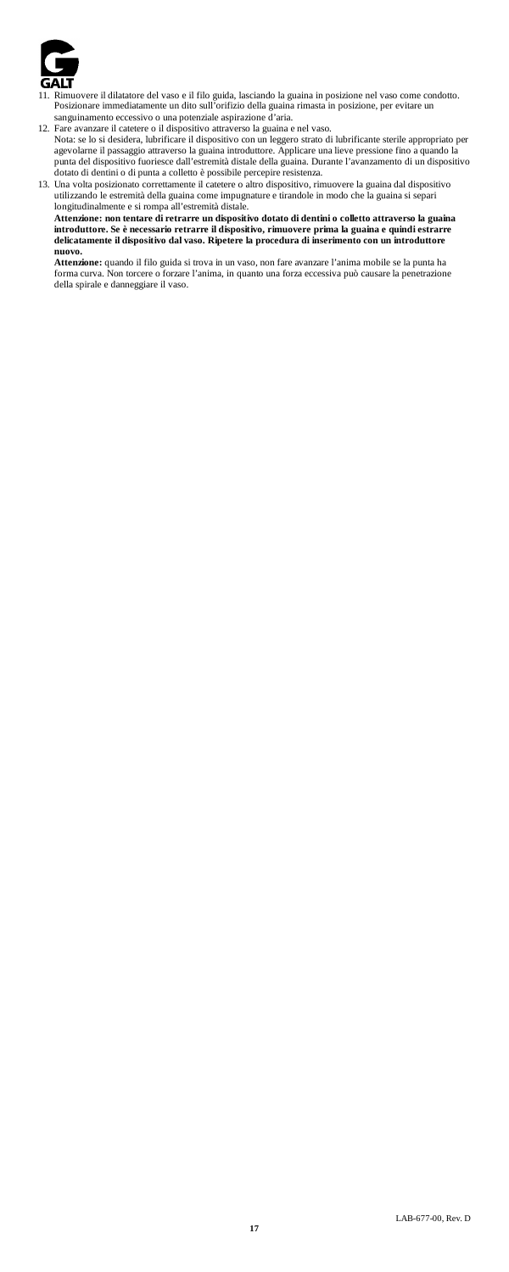

- 11. Rimuovere il dilatatore del vaso e il filo guida, lasciando la guaina in posizione nel vaso come condotto. Posizionare immediatamente un dito sull'orifizio della guaina rimasta in posizione, per evitare un sanguinamento eccessivo o una potenziale aspirazione d'aria.
- 12. Fare avanzare il catetere o il dispositivo attraverso la guaina e nel vaso.<br>Nota: se lo si desidera, lubrificare il dispositivo con un leggero strato di lubrificante sterile appropriato per<br>agevolarne il passaggio attr punta del dispositivo fuoriesce dall'estremità distale della guaina. Durante l'avanzamento di un dispositivo dotato di dentini o di punta a colletto è possibile percepire resistenza.

13. Una volta posizionato correttamente il catetere o altro dispositivo, rimuovere la guaina dal dispositivo utilizzando le estremità della guaina come impugnature e tirandole in modo che la guaina si separi<br>longitudinalme

**introduttore. Se è necessario retrarre il dispositivo, rimuovere prima la guaina e quindi estrarre delicatamente il dispositivo dal vaso. Ripetere la procedura di inserimento con un introduttore nuovo.** 

**Attenzione:** quando il filo guida si trova in un vaso, non fare avanzare l'anima mobile se la punta ha forma curva. Non torcere o forzare l'anima, in quanto una forza eccessiva può causare la penetrazione della spirale e danneggiare il vaso.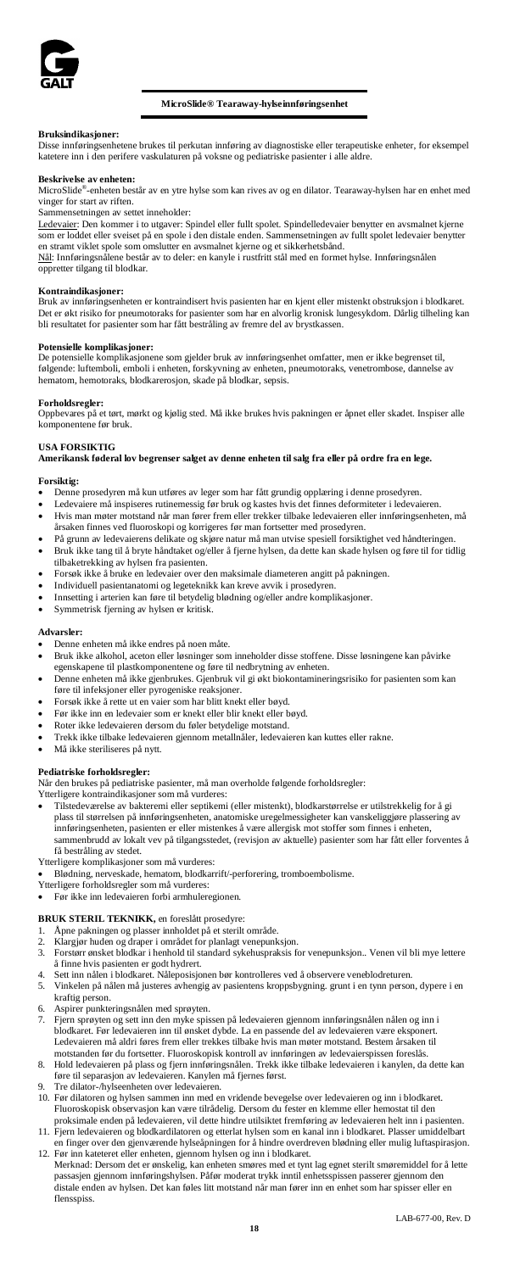

# **MicroSlide® Tearaway-hylseinnføringsenhet**

# **Bruksindikasjoner:**

Disse innføringsenhetene brukes til perkutan innføring av diagnostiske eller terapeutiske enheter, for eksempel katetere inn i den perifere vaskulaturen på voksne og pediatriske pasienter i alle aldre.

### **Beskrivelse av enheten:**

MicroSlide®-enheten består av en ytre hylse som kan rives av og en dilator. Tearaway-hylsen har en enhet med vinger for start av riften.

Sammensetningen av settet inneholder:

<u>Ledevaier</u>: Den kommer i to utgaver: Spindel eller fullt spolet. Spindelledevaier benytter en avsmalnet kjerne<br>som er loddet eller sveiset på en spole i den distale enden. Sammensetningen av fullt spolet ledevaier benytte

Nål: Innføringsnålene består av to deler: en kanyle i rustfritt stål med en formet hylse. Innføringsnålen oppretter tilgang til blodkar.

# **Kontraindikasjoner:**

Bruk av innføringsenheten er kontraindisert hvis pasienten har en kjent eller mistenkt obstruksjon i blodkaret. Det er økt risiko for pneumotoraks for pasienter som har en alvorlig kronisk lungesykdom. Dårlig tilheling kan bli resultatet for pasienter som har fått bestråling av fremre del av brystkassen.

# **Potensielle komplikasjoner:**

De potensielle komplikasjonene som gjelder bruk av innføringsenhet omfatter, men er ikke begrenset til, følgende: luftemboli, emboli i enheten, forskyvning av enheten, pneumotoraks, venetrombose, dannelse av hematom, hemotoraks, blodkarerosjon, skade på blodkar, sepsis.

### **Forholdsregler:**

Oppbevares på et tørt, mørkt og kjølig sted. Må ikke brukes hvis pakningen er åpnet eller skadet. Inspiser alle komponentene før bruk.

# **USA FORSIKTIG**

**Amerikansk føderal lov begrenser salget av denne enheten til salg fra eller på ordre fra en lege.**

- **Forsiktig:** Denne prosedyren må kun utføres av leger som har fått grundig opplæring i denne prosedyren.
- Ledevaiere må inspiseres rutinemessig før bruk og kastes hvis det finnes deformiteter i ledevaieren. • Hvis man møter motstand når man fører frem eller trekker tilbake ledevaieren eller innføringsenheten, må
- årsaken finnes ved fluoroskopi og korrigeres før man fortsetter med prosedyren.
- På grunn av ledevaierens delikate og skjøre natur må man utvise spesiell forsiktighet ved håndteringen. • Bruk ikke tang til å bryte håndtaket og/eller å fjerne hylsen, da dette kan skade hylsen og føre til for tidlig tilbaketrekking av hylsen fra pasiente
- Forsøk ikke å bruke en ledevaier over den maksimale diameteren angitt på pakningen.
- Individuell pasientanatomi og legeteknikk kan kreve avvik i prosedyren.
- Innsetting i arterien kan føre til betydelig blødning og/eller andre komplikasjoner.
- Symmetrisk fjerning av hylsen er kritisk.

### **Advarsler:**

- Denne enheten må ikke endres på noen måte.
- Bruk ikke alkohol, aceton eller løsninger som inneholder disse stoffene. Disse løsningene kan påvirke egenskapene til plastkomponentene og føre til nedbrytning av enheten.
- Denne enheten må ikke gjenbrukes. Gjenbruk vil gi økt biokontamineringsrisiko for pasienten som kan føre til infeksjoner eller pyrogeniske reaksjoner.
- Forsøk ikke å rette ut en vaier som har blitt knekt eller bøyd.
- Før ikke inn en ledevaier som er knekt eller blir knekt eller bøyd.
- Roter ikke ledevaieren dersom du føler betydelige motstand.
- Trekk ikke tilbake ledevaieren gjennom metallnåler, ledevaieren kan kuttes eller rakne.
- Må ikke steriliseres på nytt.

**Pediatriske forholdsregler:** atriske pasienter, må man overholde følgende forholdsregler:

Ytterligere kontraindikasjoner som må vurderes:

- Tilstedeværelse av bakteremi eller septikemi (eller mistenkt), blodkarstørrelse er utilstrekkelig for å gi plass til størrelsen på innføringsenheten, anatomiske uregelmessigheter kan vanskeliggjøre plassering av<br>innføringsenheten, pasienten er eller mistenkes å være allergisk mot stoffer som finnes i enheten,<br>sammenbrudd av lok få bestråling av stedet.
- Ytterligere komplikasjoner som må vurderes:
- Blødning, nerveskade, hematom, blodkarrift/-perforering, tromboembolisme.
- Ytterligere forholdsregler som må vurderes: Før ikke inn ledevaieren forbi armhuleregionen.
- 
- **BRUK STERIL TEKNIKK,** en foreslått prosedyre:
- 
- 1. Åpne pakningen og plasser innholdet på et sterilt område. 2. Klargjør huden og draper i området for planlagt venepunksjon.
- 3. Forstørr ønsket blodkar i henhold til standard sykehuspraksis for venepunksjon.. Venen vil bli mye lettere
- å finne hvis pasienten er godt hydrert. 4. Sett inn nålen i blodkaret. Nåleposisjonen bør kontrolleres ved å observere veneblodreturen.
- 5. Vinkelen på nålen må justeres avhengig av pasientens kroppsbygning. grunt i en tynn person, dypere i en kraftig person.
- 6. Aspirer punkteringsnålen med sprøyten.
- 7. Fjern sprøyten og sett inn den myke spissen på ledevaieren gjennom innføringsnålen nålen og inn i blodkaret. Før ledevaieren inn til ønsket dybde. La en passende del av ledevaieren være eksponert. Ledevaieren må aldri føres frem eller trekkes tilbake hvis man møter motstand. Bestem årsaken til motstanden før du fortsetter. Fluoroskopisk kontroll av innføringen av ledevaierspissen foreslås. 8. Hold ledevaieren på plass og fjern innføringsnålen. Trekk ikke tilbake ledevaieren i kanylen, da dette kan
- føre til separasjon av ledevaieren. Kanylen må fjernes først.
- Tre dilator-/hylseenheten over ledevaieren.
- 10. Før dilatoren og hylsen sammen inn med en vridende bevegelse over ledevaieren og inn i blodkaret. Fluoroskopisk observasjon kan være tilrådelig. Dersom du fester en klemme eller hemostat til den proksimale enden på ledevaieren, vil dette hindre utilsiktet fremføring av ledevaieren helt inn i pasienten.
- 11. Fjern ledevaieren og blodkardilatoren og etterlat hylsen som en kanal inn i blodkaret. Plasser umiddelbart en finger over den gjenværende hylseåpningen for å hindre overdreven blødning eller mulig luftaspirasjon. 12. Før inn kateteret eller enheten, gjennom hylsen og inn i blodkaret.
- Merknad: Dersom det er ønskelig, kan enheten smøres med et tynt lag egnet sterilt smøremiddel for å lette passasjen gjennom innføringshylsen. Påfør moderat trykk inntil enhetsspissen passerer gjennom den distale enden av hylsen. Det kan føles litt motstand når man fører inn en enhet som har spisser eller en flensspiss.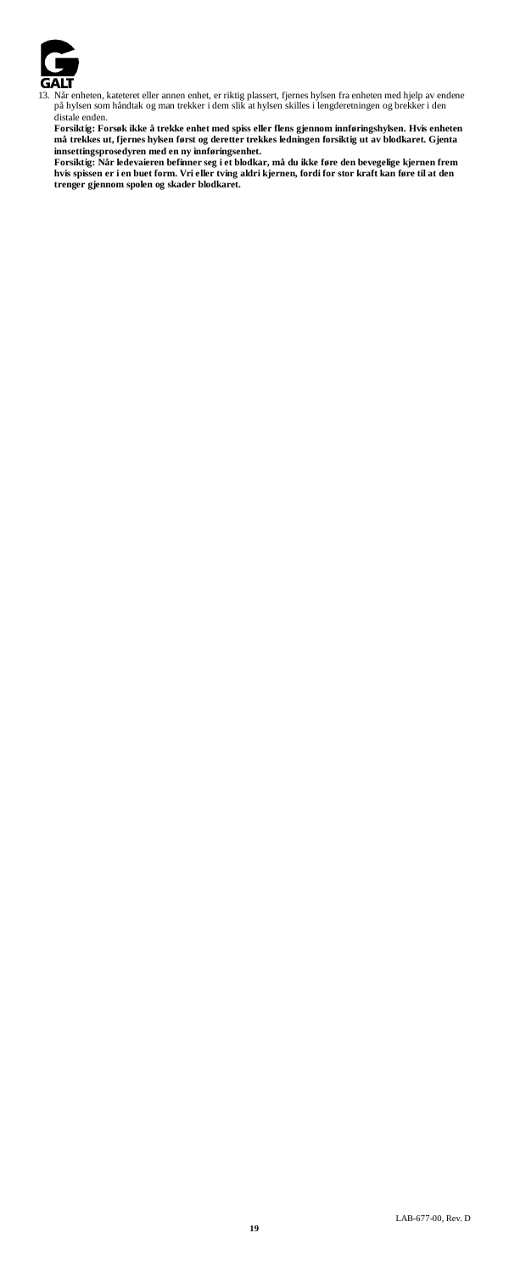

13. Når enheten, kateteret eller annen enhet, er riktig plassert, fjernes hylsen fra enheten med hjelp av endene<br>på hylsen som håndtak og man trekker i dem slik at hylsen skilles i lengderetningen og brekker i den<br>distale

**Forsiktig: Forsøk ikke å trekke enhet med spiss eller flens gjennom innføringshylsen. Hvis enheten må trekkes ut, fjernes hylsen først og deretter trekkes ledningen forsiktig ut av blodkaret. Gjenta** 

innsettingsprosedyren med en ny innføringsenhet.<br>Forsiktig: Når ledevaieren befinner seg i et blokkar, må du ikke føre den bevegelige kjernen frem<br>hvis spissen er i en buet form. Vri eller tving aldri kjernen, fordi for st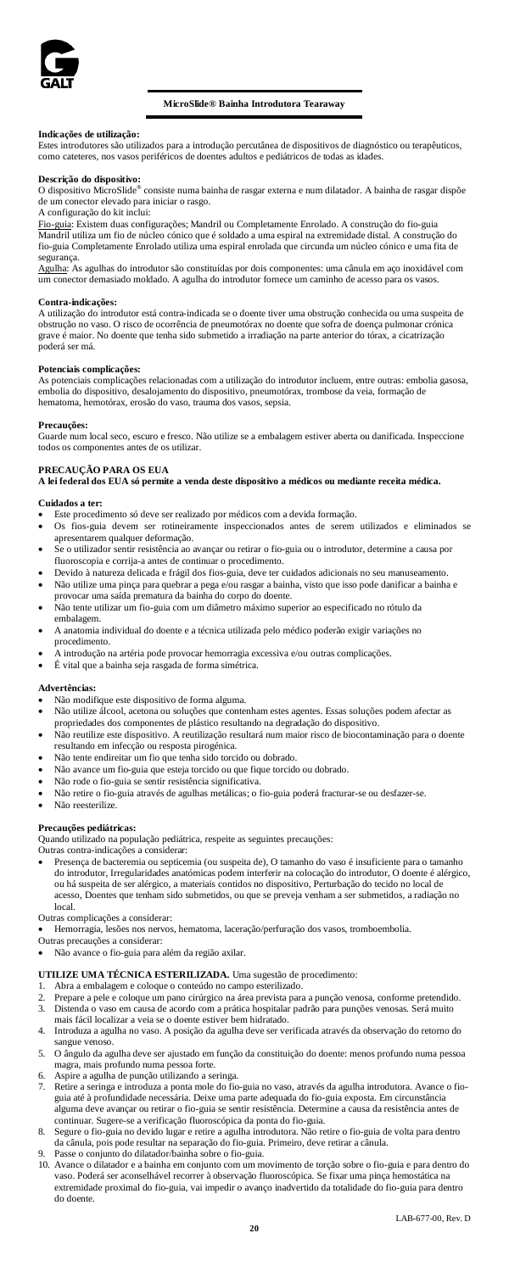

# **MicroSlide® Bainha Introdutora Tearaway**

# **Indicações de utilização:**

Estes introdutores são utilizados para a introdução percutânea de dispositivos de diagnóstico ou terapêuticos, como cateteres, nos vasos periféricos de doentes adultos e pediátricos de todas as idades.

**Descrição do dispositivo:**<br>O dispositivo MicroSlide® consiste numa bainha de rasgar externa e num dilatador. A bainha de rasgar dispõe de um conector elevado para iniciar o rasgo.

A configuração do kit inclui:

<u>Fio-guia</u>: Existem duas configurações; Mandril ou Completamente Enrolado. A construção do fio-guia<br>Mandril utiliza um fio de núcleo cónico que é soldado a uma espiral na extremidade distal. A construção do<br>fio-guia Comple segurança.

Agulha: As agulhas do introdutor são constituídas por dois componentes: uma cânula em aço inoxidável com um conector demasiado moldado. A agulha do introdutor fornece um caminho de acesso para os vasos.

### **Contra-indicações:**

A utilização do introdutor está contra-indicada se o doente tiver uma obstrução conhecida ou uma suspeita de obstrução no vaso. O risco de ocorrência de pneumotórax no doente que sofra de doença pulmonar crónica grave é maior. No doente que tenha sido submetido a irradiação na parte anterior do tórax, a cicatrização .<br>poderá ser má

### **Potenciais complicações:**

As potenciais complicações relacionadas com a utilização do introdutor incluem, entre outras: embolia gasosa, embolia do dispositivo, desalojamento do dispositivo, pneumotórax, trombose da veia, formação de hematoma, hemotórax, erosão do vaso, trauma dos vasos, sepsia.

## **Precauções:**

Guarde num local seco, escuro e fresco. Não utilize se a embalagem estiver aberta ou danificada. Inspeccione todos os componentes antes de os utilizar.

# **PRECAUÇÃO PARA OS EUA**

**A lei federal dos EUA só permite a venda deste dispositivo a médicos ou mediante receita médica.**

# **Cuidados a ter:**

- Este procedimento só deve ser realizado por médicos com a devida formação.
- Os fios-guia devem ser rotineiramente inspeccionados antes de serem utilizados e eliminados se apresentarem qualquer deformação.
- Se o utilizador sentir resistência ao avançar ou retirar o fio-guia ou o introdutor, determine a causa por fluoroscopia e corrija-a antes de continuar o procedimento.
- Devido à natureza delicada e frágil dos fios-guia, deve ter cuidados adicionais no seu manuseamento.
- Não utilize uma pinça para quebrar a pega e/ou rasgar a bainha, visto que isso pode danificar a bainha e provocar uma saída prematura da bainha do corpo do doente. • Não tente utilizar um fio-guia com um diâmetro máximo superior ao especificado no rótulo da
- embalagem. • A anatomia individual do doente e a técnica utilizada pelo médico poderão exigir variações no
- procedimento.
- A introdução na artéria pode provocar hemorragia excessiva e/ou outras complicações.
- É vital que a bainha seja rasgada de forma simétrica.

### **Advertências:**

- Não modifique este dispositivo de forma alguma.
- Não utilize álcool, acetona ou soluções que contenham estes agentes. Essas soluções podem afectar as propriedades dos componentes de plástico resultando na degradação do dispositivo.
- Não reutilize este dispositivo. A reutilização resultará num maior risco de biocontaminação para o doente resultando em infecção ou resposta pirogénica.
- Não tente endireitar um fio que tenha sido torcido ou dobrado.
- Não avance um fio-guia que esteja torcido ou que fique torcido ou dobrado.
- Não rode o fio-guia se sentir resistência significativa.
- Não retire o fio-guia através de agulhas metálicas; o fio-guia poderá fracturar-se ou desfazer-se.
- Não reesterilize

**Precauções pediátricas:** Quando utilizado na população pediátrica, respeite as seguintes precauções:

Outras contra-indicações a considerar:

• Presença de bacteremia ou septicemia (ou suspeita de), O tamanho do vaso é insuficiente para o tamanho do introdutor, Irregularidades anatómicas podem interferir na colocação do introdutor, O doente é alérgico, ou há suspeita de ser alérgico, a materiais contidos no dispositivo, Perturbação do tecido no local de acesso, Doentes que tenham sido submetidos, ou que se preveja venham a ser submetidos, a radiação no local.

Outras complicações a considerar:

• Hemorragia, lesões nos nervos, hematoma, laceração/perfuração dos vasos, tromboembolia.

Outras precauções a considerar:

• Não avance o fio-guia para além da região axilar.

# **UTILIZE UMA TÉCNICA ESTERILIZADA.** Uma sugestão de procedimento:

- 1. Abra a embalagem e coloque o conteúdo no campo esterilizado.
- en a construesa e coloque um pano cirúrgico na área prevista para a punção venosa, conforme pretendido.<br>2. Prepare a pele e coloque um pano cirúrgico na área prevista para a punção venosa, conforme pretendido.<br>3. Distenda 3. Distenda o vaso em causa de acordo com a prática hospitalar padrão para punções venosas. Será muito
- mais fácil localizar a veia se o doente estiver bem hidratado. 4. Introduza a agulha no vaso. A posição da agulha deve ser verificada através da observação do retorno do
- sangue venoso. 5. O ângulo da agulha deve ser ajustado em função da constituição do doente: menos profundo numa pessoa
- magra, mais profundo numa pessoa forte.
- 6. Aspire a agulha de punção utilizando a seringa.
- 7. Retire a seringa e introduza a ponta mole do fio-guia no vaso, através da agulha introdutora. Avance o fioguia até à profundidade necessária. Deixe uma parte adequada do fio-guia exposta. Em circunstância alguma deve avançar ou retirar o fio-guia se sentir resistência. Determine a causa da resistência antes de continuar. Sugere-se a verificação fluoroscópica da ponta do fio-guia.
- 8. Segure o fio-guia no devido lugar e retire a agulha introdutora. Não retire o fio-guia de volta para dentro da cânula, pois pode resultar na separação do fio-guia. Primeiro, deve retirar a cânula. 9. Passe o conjunto do dilatador/bainha sobre o fio-guia.
- 
- 10. Avance o dilatador e a bainha em conjunto com um movimento de torção sobre o fio-guia e para dentro do vaso. Poderá ser aconselhável recorrer à observação fluoroscópica. Se fixar uma pinça hemostática na extremidade proximal do fio-guia, vai impedir o avanço inadvertido da totalidade do fio-guia para dentro do doente.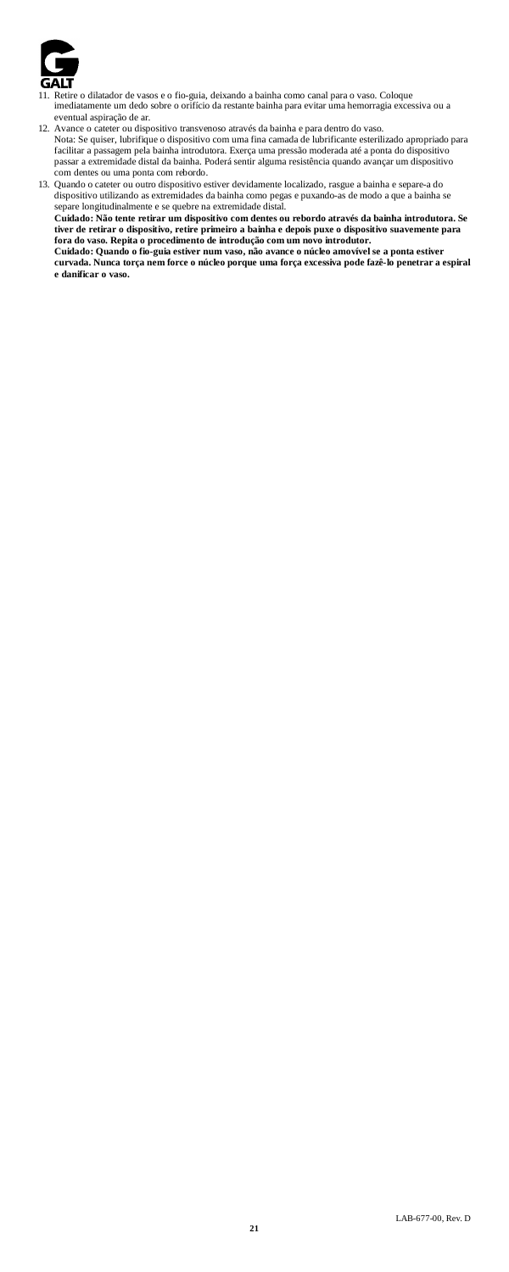

- 11. Retire o dilatador de vasos e o fio-guia, deixando a bainha como canal para o vaso. Coloque imediatamente um dedo sobre o orifício da restante bainha para evitar uma hemorragia excessiva ou a eventual aspiração de ar.
- 12. Avance o cateter ou dispositivo transvenoso através da bainha e para dentro do vaso.<br>Nota: Se quiser, lubrifique o dispositivo com uma fina camada de lubrificante esterilizado apropriado para<br>facilitar a passagem pela com dentes ou uma ponta com rebordo.

13. Quando o cateter ou outro dispositivo estiver devidamente localizado, rasgue a bainha e separe-a do<br>dispositivo utilizando as extremidades da bainha como pegas e puxando-as de modo a que a bainha se<br>separe longitudinal tiver de retirar o dispositivo, retire primeiro a bainha e depois puxe o dispositivo suavemente para<br>fora do vaso. Repita o procedimento de introdução com um novo introdutor.<br>Cuidado: Quando o fio-guia estiver num vaso, nã **e danificar o vaso.**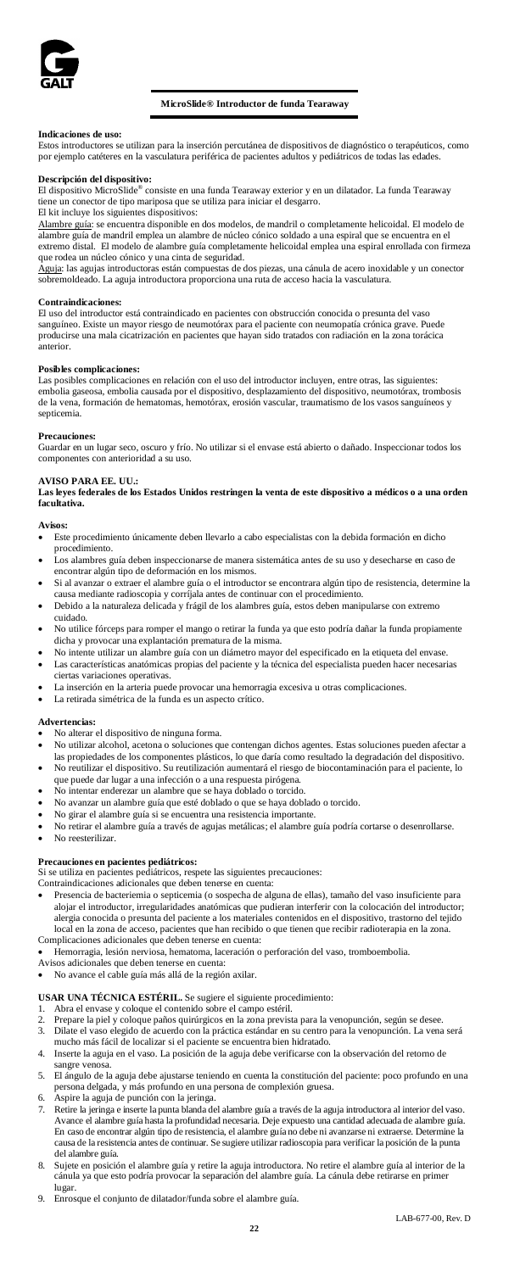

# **MicroSlide® Introductor de funda Tearaway**

**Indicaciones de uso:** Estos introductores se utilizan para la inserción percutánea de dispositivos de diagnóstico o terapéuticos, como por ejemplo catéteres en la vasculatura periférica de pacientes adultos y pediátricos de todas las edades.

**Descripción del dispositivo:** El dispositivo MicroSlide® consiste en una funda Tearaway exterior y en un dilatador. La funda Tearaway tiene un conector de tipo mariposa que se utiliza para iniciar el desgarro.

# El kit incluye los siguientes dispositivos:

Alambre guía: se encuentra disponible en dos modelos, de mandril o completamente helicoidal. El modelo de alambre guía de mandril emplea un alambre de núcleo cónico soldado a una espiral que se encuentra en el extremo distal. El modelo de alambre guía completamente helicoidal emplea una espiral enrollada con firmeza que rodea un núcleo cónico y una cinta de seguridad.

Aguja: las agujas introductoras están compuestas de dos piezas, una cánula de acero inoxidable y un conector sobremoldeado. La aguja introductora proporciona una ruta de acceso hacia la vasculatura.

### **Contraindicaciones:**

El uso del introductor está contraindicado en pacientes con obstrucción conocida o presunta del va sanguíneo. Existe un mayor riesgo de neumotórax para el paciente con neumopatía crónica grave. Puede producirse una mala cicatrización en pacientes que hayan sido tratados con radiación en la zona torácica anterior.

# **Posibles complicaciones:**

Las posibles complicaciones en relación con el uso del introductor incluyen, entre otras, las siguientes: embolia gaseosa, embolia causada por el dispositivo, desplazamiento del dispositivo, neumotórax, trombosis de la vena, formación de hematomas, hemotórax, erosión vascular, traumatismo de los vasos sanguíneos y septicemia.

**Precauciones:** Guardar en un lugar seco, oscuro y frío. No utilizar si el envase está abierto o dañado. Inspeccionar todos los componentes con anterioridad a su uso.

**AVISO PARA EE. UU.: Las leyes federales de los Estados Unidos restringen la venta de este dispositivo a médicos o a una orden facultativa.**

# Aviso

- Este procedimiento únicamente deben llevarlo a cabo especialistas con la debida formación en dicho procedimiento. • Los alambres guía deben inspeccionarse de manera sistemática antes de su uso y desecharse en caso de
- encontrar algún tipo de deformación en los mismos.
- Si al avanzar o extraer el alambre guía o el introductor se encontrara algún tipo de resistencia, determine la causa mediante radioscopia y corríjala antes de continuar con el procedimiento. • Debido a la naturaleza delicada y frágil de los alambres guía, estos deben manipularse con extremo
- cuidado.
- No utilice fórceps para romper el mango o retirar la funda ya que esto podría dañar la funda propiamente dicha y provocar una explantación prematura de la misma.
- No intente utilizar un alambre guía con un diámetro mayor del especificado en la etiqueta del envase. • Las características anatómicas propias del paciente y la técnica del especialista pueden hacer necesarias
- ciertas variaciones operativas. La inserción en la arteria puede provocar una hemorragia excesiva u otras complicaciones.
- La retirada simétrica de la funda es un aspecto crítico.

### **Advertencias:**

- No alterar el dispositivo de ninguna forma.<br>• No utilizar alcohol, acetona o soluciones qu
- No utilizar alcohol, acetona o soluciones que contengan dichos agentes. Estas soluciones pueden afectar a las propiedades de los componentes plásticos, lo que daría como resultado la degradación del dispositivo. • No reutilizar el dispositivo. Su reutilización aumentará el riesgo de biocontaminación para el paciente, lo
- que puede dar lugar a una infección o a una respuesta pirógena.
- No intentar enderezar un alambre que se haya doblado o torcido.
- No avanzar un alambre guía que esté doblado o que se haya doblado o torcido. • No girar el alambre guía si se encuentra una resistencia importante.
- No retirar el alambre guía a través de agujas metálicas; el alambre guía podría cortarse o desenrollarse.
- No reesterilizar.

# **Precauciones en pacientes pediátricos:**

- Si se utiliza en pacientes pediátricos, respete las siguientes precauciones: Contraindicaciones adicionales que deben tenerse en cuenta:
- 
- Presencia de bacteriemia o septicemia (o sospecha de alguna de ellas), tamaño del vaso insuficiente para alojar el introductor, irregularidades anatómicas que pudieran interferir con la colocación del introductor; alergia conocida o presunta del paciente a los materiales contenidos en el dispositivo, trastorno del tejido local en la zona de acceso, pacientes que han recibido o que tienen que recibir radioterapia en la zona. Complicaciones adicionales que deben tenerse en cuenta:
- Hemorragia, lesión nerviosa, hematoma, laceración o perforación del vaso, tromboembolia.
- Avisos adicionales que deben tenerse en cuenta:
- No avance el cable guía más allá de la región axilar.

**USAR UNA TÉCNICA ESTÉRIL.** Se sugiere el siguiente procedimiento:

- 
- 1. Abra el envase y coloque el contenido sobre el campo estéril. 2. Prepare la piel y coloque paños quirúrgicos en la zona prevista para la venopunción, según se desee.
- 3. Dilate el vaso elegido de acuerdo con la práctica estándar en su centro para la venopunción. La vena será mucho más fácil de localizar si el pacien 4. Inserte la aguja en el vaso. La posición de la aguja debe verificarse con la observación del retorno de
- sangre venosa.
- 5. El ángulo de la aguja debe ajustarse teniendo en cuenta la constitución del paciente: poco profundo en una persona delgada, y más profundo en una persona de complexión gruesa. 6. Aspire la aguja de punción con la jeringa.
- 
- 7. Retire la jeringa e inserte la punta blanda del alambre guía a través de la aguja introductora al interior del vaso.<br>Avance el alambre guía hasta la profundidad necesaria. Deje expuesto una cantidad adecuada de alambre En caso de encontrar algún tipo de resistencia, el alambre guía no debe ni avanzarse ni extraerse. Determine la causa de la resistencia antes de continuar. Se sugiere utilizar radioscopia para verificar la posición de la punta
- del alambre guía.<br>8. Sujete en posición el alambre guía y retire la aguja introductora. No retire el alambre guía al interior de la<br>cánula ya que esto podría provocar la separación del alambre guía. La cánula debe retir lugar.
- 9. Enrosque el conjunto de dilatador/funda sobre el alambre guía.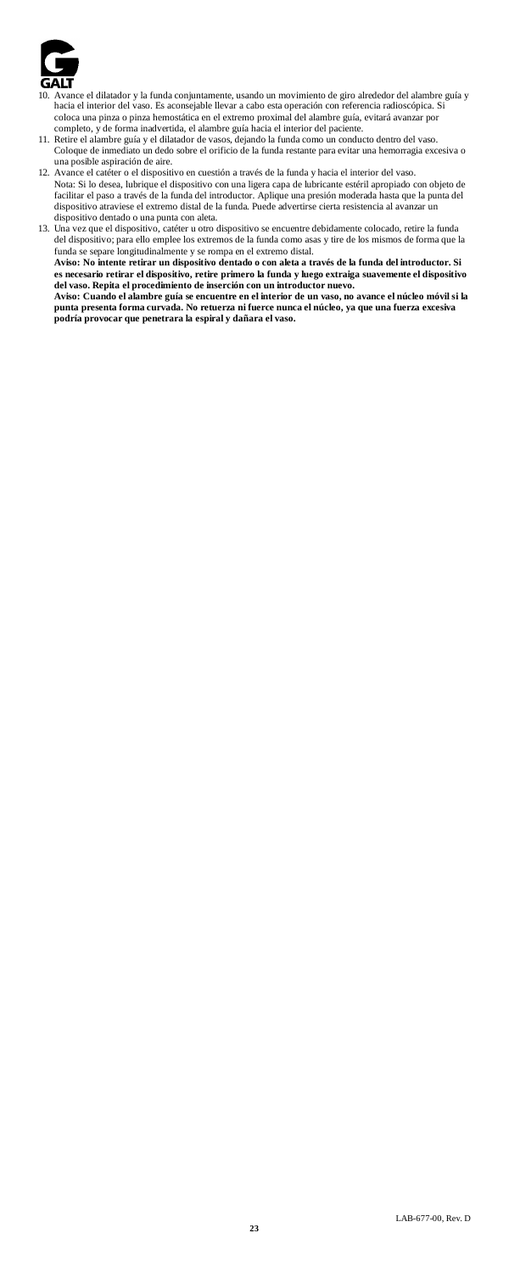

- 10. Avance el dilatador y la funda conjuntamente, usando un movimiento de giro alrededor del alambre guía y hacia el interior del vaso. Es aconsejable llevar a cabo esta operación con referencia radioscópica. Si coloca una pinza o pinza hemostática en el extremo proximal del alambre guía, evitará avanz
- completo, y de forma inadvertida, el alambre guía hacia el interior del paciente.<br>11. Retire el alambre guía y el dilatador de vasos, dejando la funda como un conducto dentro del vaso.<br>Coloque de inmediato un dedo sobre el una posible aspiración de aire.
- 12. Avance el catéter o el dispositivo en cuestión a través de la funda y hacia el interior del vaso. Nota: Si lo desea, lubrique el dispositivo con una ligera capa de lubricante estéril apropiado con objeto de<br>facilitar el paso a través de la funda del introductor. Aplique una presión moderada hasta que la punta del<br>dispo
- dispositivo dentado o una punta con aleta. 13. Una vez que el dispositivo, catéter u otro dispositivo se encuentre debidamente colocado, retire la funda del dispositivo; para ello emplee los extremos de la funda como asas y tire de los mismos de forma que la funda se separe longitudinalmente y se rompa en el extremo distal. **Aviso: No intente retirar un dispositivo dentado o con aleta a través de la funda del introductor. Si**  es necesario retirar el dispositivo, retire primero la funda y luego extraiga suavemente el dispositivo<br>del vaso. Repita el procedimiento de inserción con un introductor nuevo.<br>Aviso: Cuando el alambre guía se encuentre en **punta presenta forma curvada. No retuerza ni fuerce nunca el núcleo, ya que una fuerza excesiva podría provocar que penetrara la espiral y dañara el vaso.**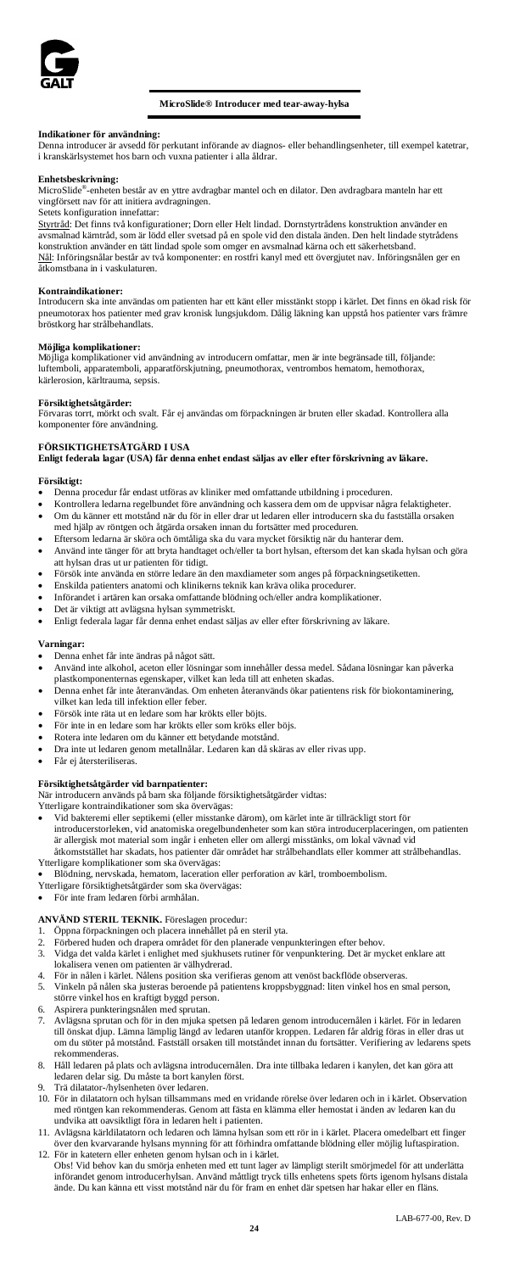

# **MicroSlide® Introducer med tear-away-hylsa**

**Indikationer för användning:** Denna introducer är avsedd för perkutant införande av diagnos- eller behandlingsenheter, till exempel katetrar, i kranskärlsystemet hos barn och vuxna patienter i alla åldrar.

### **Enhetsbeskrivning:**

MicroSlide®-enheten består av en yttre avdragbar mantel och en dilator. Den avdragbara manteln har ett vingförsett nav för att initiera avdragningen.

# Setets konfiguration innefattar:

Styrtråd: Det finns två konfigurationer; Dorn eller Helt lindad. Dornstyrtrådens konstruktion använder en avsmalnad kärntråd, som är lödd eller svetsad på en spole vid den distala änden. Den helt lindade stytrådens konstruktion använder en tätt lindad spole som omger en avsmalnad kärna och ett säkerhetsband. Nål: Införingsnålar består av två komponenter: en rostfri kanyl med ett övergjutet nav. Införingsnålen ger en åtkomstbana in i vaskulaturen.

### **Kontraindikationer:**

Introducern ska inte användas om patienten har ett känt eller misstänkt stopp i kärlet. Det finns en ökad risk för pneumotorax hos patienter med grav kronisk lungsjukdom. Dålig läkning kan uppstå hos patienter vars främre bröstkorg har strålbehandlats.

# **Möjliga komplikationer:**

Möjliga komplikationer vid användning av introducern omfattar, men är inte begränsade till, följande: luftemboli, apparatemboli, apparatförskjutning, pneumothorax, ventrombos hematom, hemothorax, kärlerosion, kärltrauma, sepsi

### **Försiktighetsåtgärder:**

Förvaras torrt, mörkt och svalt. Får ej användas om förpackningen är bruten eller skadad. Kontrollera alla komponenter före användning.

# **FÖRSIKTIGHETSÅTGÄRD I USA**

**Enligt federala lagar (USA) får denna enhet endast säljas av eller efter förskrivning av läkare.**

# **Försiktigt:**

- Denna procedur får endast utföras av kliniker med omfattande utbildning i proceduren.
- Kontrollera ledarna regelbundet före användning och kassera dem om de uppvisar några felaktigheter. • Om du känner ett motstånd när du för in eller drar ut ledaren eller introducern ska du fastställa orsaken
- med hjälp av röntgen och åtgärda orsaken innan du fortsätter med proceduren.
- Eftersom ledarna är sköra och ömtåliga ska du vara mycket försiktig när du hanterar dem. • Använd inte tänger för att bryta handtaget och/eller ta bort hylsan, eftersom det kan skada hylsan och göra att hylsan dras ut ur patienten för tidigt.
- Försök inte använda en större ledare än den maxdiameter som anges på förpackningsetiketten.
- Enskilda patienters anatomi och klinikerns teknik kan kräva olika procedurer.
- Införandet i artären kan orsaka omfattande blödning och/eller andra komplikationer.
- Det är viktigt att avlägsna hylsan symmetriskt.
- Enligt federala lagar får denna enhet endast säljas av eller efter förskrivning av läkare.

# **Varningar:**

- Denna enhet får inte ändras på något sätt.<br>• Använd inte alkohol, aceton eller lösning
- Använd inte alkohol, aceton eller lösningar som innehåller dessa medel. Sådana lösningar kan påverka plastkomponenternas egenskaper, vilket kan leda till att enheten skadas.
- Denna enhet får inte återanvändas. Om enheten återanvänds ökar patientens risk för biokontaminering, vilket kan leda till infektion eller feber.
- Försök inte räta ut en ledare som har krökts eller böjts.
- För inte in en ledare som har krökts eller som kröks eller böjs.
- Rotera inte ledaren om du känner ett betydande motstånd.
- Dra inte ut ledaren genom metallnålar. Ledaren kan då skäras av eller rivas upp.
- Får ej återsteriliseras.

**Försiktighetsåtgärder vid barnpatienter:** När introducern används på barn ska följande försiktighetsåtgärder vidtas:

Ytterligare kontraindikationer som ska övervägas:

- Vid bakteremi eller septikemi (eller misstanke därom), om kärlet inte är tillräckligt stort för introducerstorleken, vid anatomiska oregelbundenheter som kan störa introducerplaceringen, om patienten är allergisk mot material som ingår i enheten eller om allergi misstänks, om lokal vävnad vid
- åtkomststället har skadats, hos patienter där området har strålbehandlats eller kommer att strålbehandlas. Ytterligare komplikationer som ska övervägas: • Blödning, nervskada, hematom, laceration eller perforation av kärl, tromboembolism.
- 
- Ytterligare försiktighetsåtgärder som ska övervägas:
- För inte fram ledaren förbi armhålan.

- 
- **ANVÅND STERIL TEKNIK.** Föreslagen procedur:<br>1. Öppna förpackningen och placera innehållet på en steril yta.<br>2. Förbered huden och drapera området för den planerade venpunkteringen efter behov. 3. Vidga det valda kärlet i enlighet med sjukhusets rutiner för venpunktering. Det är mycket enklare att
- lokalisera venen om patienten är välhydrerad.
- 4. För in nålen i kärlet. Nålens position ska verifieras genom att venöst backflöde observeras. Vinkeln på nålen ska justeras beroende på patientens kroppsbyggnad: liten vinkel hos en smal person, större vinkel hos en kraftigt byggd person.
- 6. Aspirera punkteringsnålen med sprutan.
- 7. Avlägsna sprutan och för in den mjuka spetsen på ledaren genom introducernålen i kärlet. För in ledaren till önskat djup. Lämna lämplig längd av ledaren utanför kroppen. Ledaren får aldrig föras in eller dras ut om du stöter på motstånd. Fastställ orsaken till motståndet innan du fortsätter. Verifiering av ledarens spets rekommenderas.
- 8. Håll ledaren på plats och avlägsna introducernålen. Dra inte tillbaka ledaren i kanylen, det kan göra att ledaren delar sig. Du måste ta bort kanylen först. 9. Trä dilatator-/hylsenheten över ledaren.
- 
- 10. För in dilatatorn och hylsan tillsammans med en vridande rörelse över ledaren och in i kärlet. Observation menderas. Genom att fästa en klämma eller hemostat i änden av ledaren kan du undvika att oavsiktligt föra in ledaren helt i patienten.
- 11. Avlägsna kärldilatatorn och ledaren och lämna hylsan som ett rör in i kärlet. Placera omedelbart ett finger över den kvarvarande hylsans mynning för att förhindra omfattande blödning eller möjlig luftaspiration. 12. För in katetern eller enheten genom hylsan och in i kärlet.
- Obs! Vid behov kan du smörja enheten med ett tunt lager av lämpligt sterilt smörjmedel för att underlätta införandet genom introducerhylsan. Använd måttligt tryck tills enhetens spets förts igenom hylsans distala ände. Du kan känna ett visst motstånd när du för fram en enhet där spetsen har hakar eller en fläns.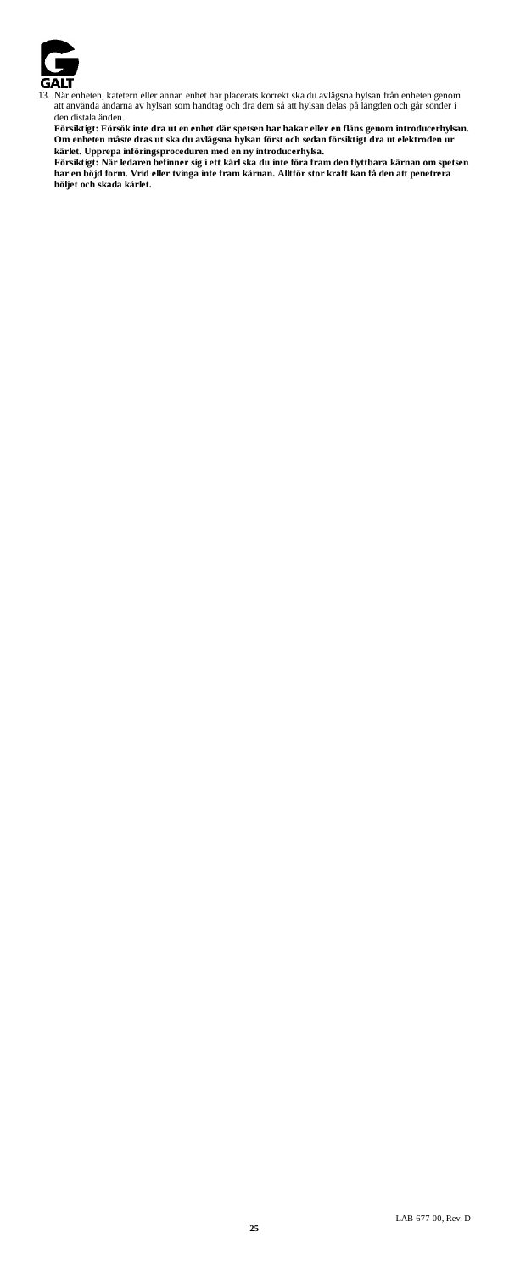

13. När enheten, katetern eller annan enhet har placerats korrekt ska du avlägsna hylsan från enheten genom att använda ändarna av hylsan som handtag och dra dem så att hylsan delas på längden och går sönder i

den distala änden.<br>Försiktigt: Försök inte dra ut en enhet där spetsen har hakar eller en fläns genom introducerhykan.<br>Om enheten måste dras ut ska du avlägsna hykan först och sedan försiktigt dra ut elektroden ur<br>kärlet.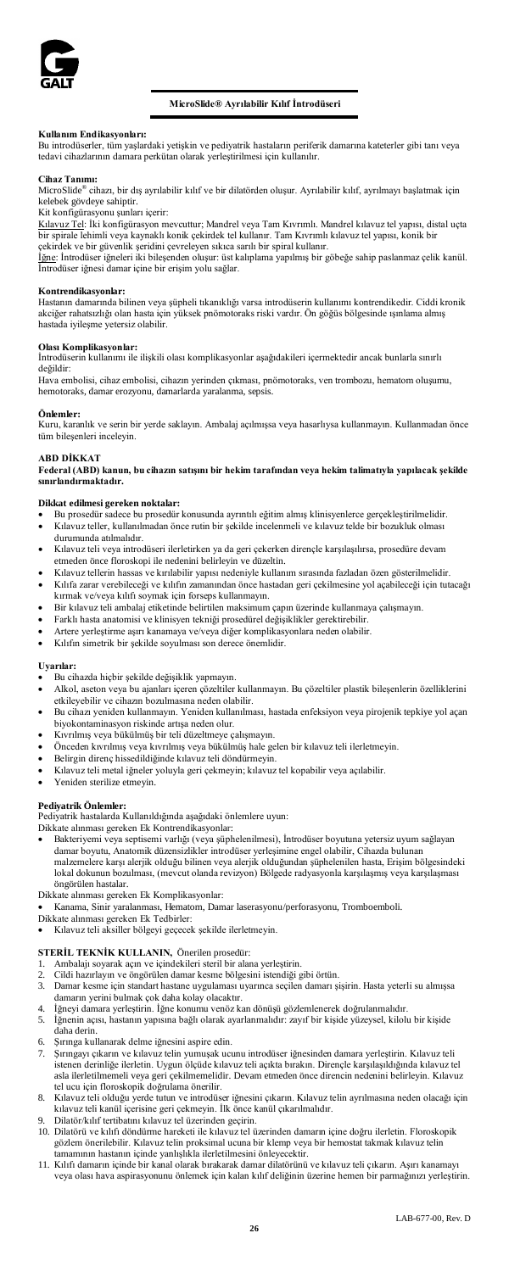

# **MicroSlide® Ayrılabilir Kılıf İntrodüseri**

# **Kullanım Endikasyonları:**

Bu introdüserler, tüm yaşlardaki yetişkin ve pediyatrik hastaların periferik damarına kateterler gibi tanı veya tedavi cihazlarının damara perkütan olarak yerleştirilmesi için kullanılır.

### **Cihaz Tanımı:**

MicroSlide® cihazı, bir dış ayrılabilir kılıf ve bir dilatörden oluşur. Ayrılabilir kılıf, ayrılmayı başlatmak için kelebek gövdeye sahiptir. Kit konfigürasyonu şunları içerir:

Kılavuz Tel: İki konfigürasyon mevcuttur; Mandrel veya Tam Kıvrımlı. Mandrel kılavuz tel yapısı, distal uçta<br>bir spirale lehimli veya kaynaklı konik çekirdek tel kullanır. Tam Kıvrımlı kılavuz tel yapısı, konik bir çekirdek ve bir güvenlik şeridini çevreleyen sıkıca sarılı bir spiral kullanır.

İğne: İntrodüser iğneleri iki bileşenden oluşur: üst kalıplama yapılmış bir göbeğe sahip paslanmaz çelik kanül.<br>İntrodüser iğnesi damar içine bir erişim yolu sağlar.

**Kontrendikasyonlar:**<br>Hastanın damarında bilinen veya şüpheli tıkanıklığı varsa introdüserin kullanımı kontrendikedir. Ciddi kronik akciğer rahatsızlığı olan hasta için yüksek pnömotoraks riski vardır. Ön göğüs bölgesinde ışınlama almış hastada iyileşme yetersiz olabilir.

# **Olası Komplikasyonlar:**

İntrodüserin kullanımı ile ilişkili olası komplikasyonlar aşağıdakileri içermektedir ancak bunlarla sınırlı değildir:

Hava embolisi, cihaz embolisi, cihazın yerinden çıkması, pnömotoraks, ven trombozu, hematom oluşumu, hemotoraks, damar erozyonu, damarlarda yaralanma, sepsis.

**Önlemler:**<br>Kuru, karanlık ve serin bir yerde saklayın. Ambalaj açılmışsa veya hasarlıysa kullanmayın. Kullanmadan önce<br>tüm bileşenleri inceleyin.

### **ABD DİKKAT**

**Federal (ABD) kanun, bu cihazın satışını bir hekim tarafından veya hekim talimatıyla yapılacak şekilde sınırlandırmaktadır.** 

# **Dikkat edilmesi gereken noktalar:**

- Bu prosedür sadece bu prosedür konusunda ayrıntılı eğitim almış klinisyenlerce gerçekleştirilmelidir. Kılavuz teller, kullanılmadan önce rutin bir şekilde incelenmeli ve kılavuz telde bir bozukluk olması durumunda atılmalıdır.
- Kılavuz teli veya introdüseri ilerletirken ya da geri çekerken dirençle karşılaşılırsa, prosedüre devam etmeden önce floroskopi ile nedenini belirleyin ve düzeltin.
- Kılavuz tellerin hassas ve kırılabilir yapısı nedeniyle kullanım sırasında fazladan özen gösterilmelidir.
- Kılıfa zarar verebileceği ve kılıfın zamanından önce hastadan geri çekilmesine yol açabileceği için tutacağı kırmak ve/veya kılıfı soymak için forseps kullanmayın. • Bir kılavuz teli ambalaj etiketinde belirtilen maksimum çapın üzerinde kullanmaya çalışmayın.
- 
- Farklı hasta anatomisi ve klinisyen tekniği prosedürel değişiklikler gerektirebilir.
- Artere yerleştirme aşırı kanamaya ve/veya diğer komplikasyonlara neden olabilir.
- Kılıfın simetrik bir şekilde soyulması son derece önemlidir.

# **Uyarılar:**

- Bu cihazda hiçbir şekilde değişiklik yapmayın.
- Alkol, aseton veya bu ajanları içeren çözeltiler kullanmayın. Bu çözeltiler plastik bileşenlerin özelliklerini etkileyebilir ve cihazın bozulmasına neden olabilir.
- Bu cihazı yeniden kullanmayın. Yeniden kullanılması, hastada enfeksiyon veya pirojenik tepkiye yol açan biyokontaminasyon riskinde artışa neden olur. • Kıvrılmış veya bükülmüş bir teli düzeltmeye çalışmayın.
- 
- Önceden kıvrılmış veya kıvrılmış veya bükülmüş hale gelen bir kılavuz teli ilerletmeyin.
- Belirgin direnç hissedildiğinde kılavuz teli döndürmeyin.
- Kılavuz teli metal iğneler yoluyla geri çekmeyin; kılavuz tel kopabilir veya açılabilir.
- Yeniden sterilize etmevin.

# **Pediyatrik Önlemler:**

Pediyatrik hastalarda Kullanıldığında aşağıdaki önlemlere uyun: Dikkate alınması gereken Ek Kontrendikasyonlar:

- Bakteriyemi veya septisemi varlığı (veya şüphelenilmesi), İntrodüser boyutuna yetersiz uyum sağlayan damar boyutu, Anatomik düzensizlikler introdüser yerleşimine engel olabilir, Cihazda bulunan<br>malzemelere karşı alerjik olduğu bilinen veya alerjik olduğundan şüphelenilen hasta, Erişim bölgesindeki lokal dokunun bozulması, (mevcut olanda revizyon) Bölgede radyasyonla karşılaşmış veya karşılaşması öngörülen hastalar.
- Dikkate alınması gereken Ek Komplikasyonlar:

• Kanama, Sinir yaralanması, Hematom, Damar laserasyonu/perforasyonu, Tromboemboli.

- Dikkate alınması gereken Ek Tedbirler:
- Kılavuz teli aksiller bölgeyi geçecek şekilde ilerletmeyin.

- 
- **STERİL TEKNİK KULLANIN, Ö**nerilen prosedür:<br>1. Ambalajı soyarak açın ve içindekileri steril bir alana yerleştirin.<br>2. Cildi hazırlayın ve öngörülen damar kesme bölgesini istendiği gibi örtün.
- 3. Damar kesme için standart hastane uygulaması uyarınca seçilen damarı şişirin. Hasta yeterli su almışsa damarın yerini bulmak çok daha kolay olacaktır.
- 4. İğneyi damara yerleştirin. İğne konumu venöz kan dönüşü gözlemlenerek doğrulanmalıdır.
- 5. İğnenin açısı, hastanın yapısına bağlı olarak ayarlanmalıdır: zayıf bir kişide yüzeysel, kilolu bir kişide daha derin.
- 6. Şırınga kullanarak delme iğnesini aspire edin.
- 7. Şırıngayı çıkarın ve kılavuz telin yumuşak ucunu introdüser iğnesinden damara yerleştirin. Kılavuz teli istenen derinliğe ilerletin. Uygun ölçüde kılavuz teli açıkta bırakın. Dirençle karşılaşıldığında kılavuz tel asla ilerletilmemeli veya geri çekilmemelidir. Devam etmeden önce direncin nedenini belirleyin. Kılavuz tel ucu için floroskopik doğrulama önerilir.
- 8. Kılavuz teli olduğu yerde tutun ve introdüser iğnesini çıkarın. Kılavuz telin ayrılmasına neden olacağı için kılavuz teli kanül içerisine geri çekmeyin. İlk önce kanül çıkarılmalıdır.
- 9. Dilatör/kılıf tertibatını kılavuz tel üzerinden geçirin.
- 10. Dilatörü ve kılıfı döndürme hareketi ile kılavuz tel üzerinden damarın içine doğru ilerletin. Floroskopik gözlem önerilebilir. Kılavuz telin proksimal ucuna bir klemp veya bir hemostat takmak kılavuz telin tamamının hastanın içinde yanlışlıkla ilerletilmesini önleyecektir.
- 11. Kılıfı damarın içinde bir kanal olarak bırakarak damar dilatörünü ve kılavuz teli çıkarın. Aşırı kanamayı veya olası hava aspirasyonunu önlemek için kalan kılıf deliğinin üzerine hemen bir parmağınızı yerleştirin.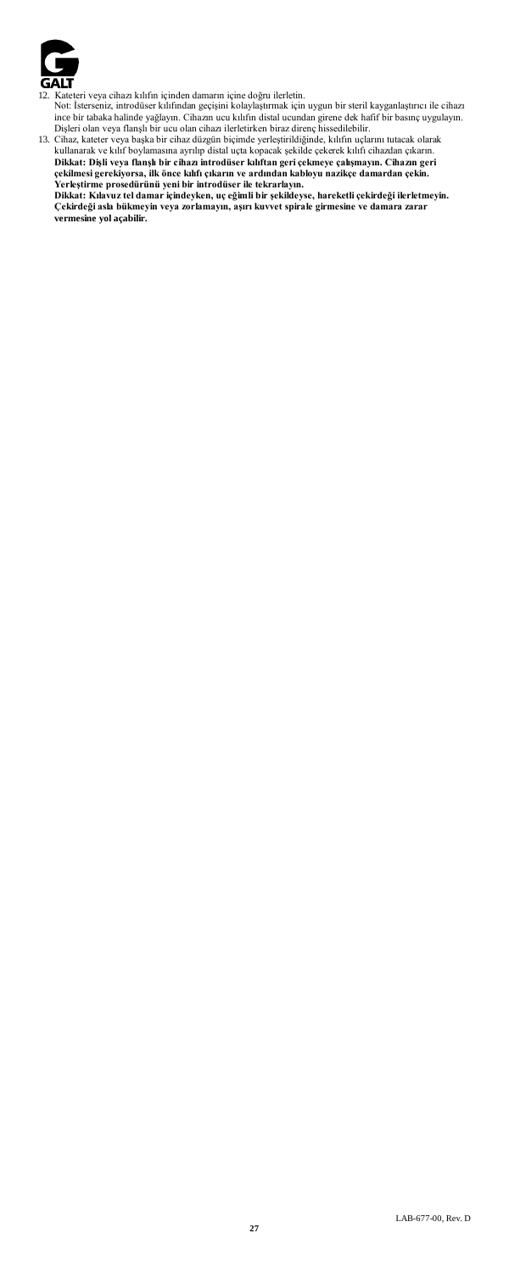

- 
- 

12. Kateteri veya cihara kılıfın içinden danarın içine doğru ilerletin.<br>12. Kateteri veya cihara kılıfından geçişini kolaylaştırmak için uygun bir steril kayganlaştırıcı ile cihazı<br>10. Steri olarak halinde yağlayın. Cihazı **Çekirdeği asla bükmeyin veya zorlamayın, aşırı kuvvet spirale girmesine ve damara zarar vermesine yol açabilir.**